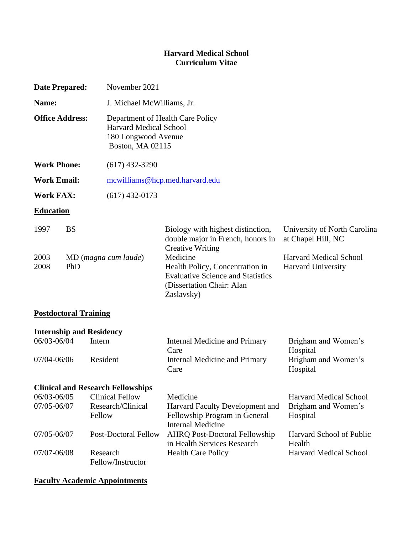## **Harvard Medical School Curriculum Vitae**

| <b>Date Prepared:</b>               |                                 | November 2021                                                            |                                                                                                                                    |                                                     |
|-------------------------------------|---------------------------------|--------------------------------------------------------------------------|------------------------------------------------------------------------------------------------------------------------------------|-----------------------------------------------------|
| Name:<br>J. Michael McWilliams, Jr. |                                 |                                                                          |                                                                                                                                    |                                                     |
| <b>Office Address:</b>              |                                 | <b>Harvard Medical School</b><br>180 Longwood Avenue<br>Boston, MA 02115 | Department of Health Care Policy                                                                                                   |                                                     |
| <b>Work Phone:</b>                  |                                 | $(617)$ 432-3290                                                         |                                                                                                                                    |                                                     |
| <b>Work Email:</b>                  |                                 |                                                                          | mcwilliams@hcp.med.harvard.edu                                                                                                     |                                                     |
| <b>Work FAX:</b>                    |                                 | $(617)$ 432-0173                                                         |                                                                                                                                    |                                                     |
| <b>Education</b>                    |                                 |                                                                          |                                                                                                                                    |                                                     |
| 1997                                | <b>BS</b>                       |                                                                          | Biology with highest distinction,<br>double major in French, honors in<br><b>Creative Writing</b>                                  | University of North Carolina<br>at Chapel Hill, NC  |
| 2003<br>2008                        | PhD                             | MD (magna cum laude)                                                     | Medicine<br>Health Policy, Concentration in<br><b>Evaluative Science and Statistics</b><br>(Dissertation Chair: Alan<br>Zaslavsky) | <b>Harvard Medical School</b><br>Harvard University |
|                                     | <b>Postdoctoral Training</b>    |                                                                          |                                                                                                                                    |                                                     |
|                                     | <b>Internship and Residency</b> |                                                                          |                                                                                                                                    |                                                     |
| 06/03-06/04                         | Intern                          |                                                                          | <b>Internal Medicine and Primary</b><br>Care                                                                                       | Brigham and Women's<br>Hospital                     |
| 07/04-06/06                         |                                 | Resident                                                                 | <b>Internal Medicine and Primary</b>                                                                                               | Brigham and Women's                                 |

## **Clinical and Research Fellowships**

| $06/03 - 06/05$ | <b>Clinical Fellow</b>      | Medicine                             | <b>Harvard Medical School</b> |
|-----------------|-----------------------------|--------------------------------------|-------------------------------|
| 07/05-06/07     | Research/Clinical           | Harvard Faculty Development and      | Brigham and Women's           |
|                 | Fellow                      | Fellowship Program in General        | Hospital                      |
|                 |                             | <b>Internal Medicine</b>             |                               |
| 07/05-06/07     | <b>Post-Doctoral Fellow</b> | <b>AHRQ Post-Doctoral Fellowship</b> | Harvard School of Public      |
|                 |                             | in Health Services Research          | Health                        |
| 07/07-06/08     | Research                    | <b>Health Care Policy</b>            | <b>Harvard Medical School</b> |
|                 | Fellow/Instructor           |                                      |                               |

Hospital

Care

## **Faculty Academic Appointments**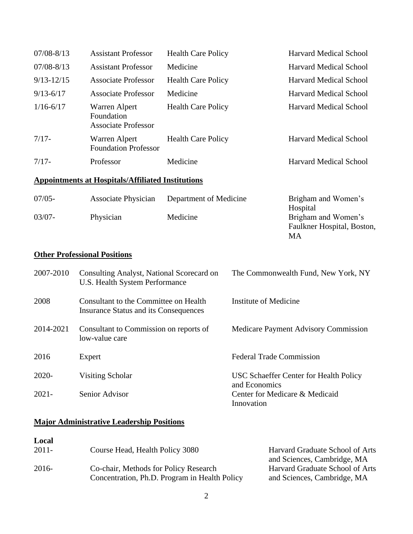| $07/08 - 8/13$ | <b>Assistant Professor</b>                                | <b>Health Care Policy</b> | <b>Harvard Medical School</b> |
|----------------|-----------------------------------------------------------|---------------------------|-------------------------------|
| $07/08 - 8/13$ | <b>Assistant Professor</b>                                | Medicine                  | <b>Harvard Medical School</b> |
| $9/13 - 12/15$ | <b>Associate Professor</b>                                | <b>Health Care Policy</b> | <b>Harvard Medical School</b> |
| $9/13 - 6/17$  | Associate Professor                                       | Medicine                  | <b>Harvard Medical School</b> |
| $1/16 - 6/17$  | Warren Alpert<br>Foundation<br><b>Associate Professor</b> | <b>Health Care Policy</b> | <b>Harvard Medical School</b> |
| $7/17-$        | Warren Alpert<br><b>Foundation Professor</b>              | <b>Health Care Policy</b> | <b>Harvard Medical School</b> |
| $7/17-$        | Professor                                                 | Medicine                  | <b>Harvard Medical School</b> |
|                | <b>Appointments at Hospitals/Affiliated Institutions</b>  |                           |                               |
| $07/05 -$      | Associate Physician                                       | Department of Medicine    | Brigham and Women's           |

| 01/03     | ASSOCIALE I IIVSICIAII | Department of Medicine | Drigham and Women S        |
|-----------|------------------------|------------------------|----------------------------|
|           |                        |                        | Hospital                   |
| $03/07 -$ | Physician              | Medicine               | Brigham and Women's        |
|           |                        |                        | Faulkner Hospital, Boston, |
|           |                        |                        | МA                         |

# **Other Professional Positions**

| 2007-2010 | Consulting Analyst, National Scorecard on<br>U.S. Health System Performance    | The Commonwealth Fund, New York, NY                     |
|-----------|--------------------------------------------------------------------------------|---------------------------------------------------------|
| 2008      | Consultant to the Committee on Health<br>Insurance Status and its Consequences | Institute of Medicine                                   |
| 2014-2021 | Consultant to Commission on reports of<br>low-value care                       | <b>Medicare Payment Advisory Commission</b>             |
| 2016      | Expert                                                                         | <b>Federal Trade Commission</b>                         |
| $2020 -$  | Visiting Scholar                                                               | USC Schaeffer Center for Health Policy<br>and Economics |
| $2021 -$  | Senior Advisor                                                                 | Center for Medicare & Medicaid<br>Innovation            |

## **Major Administrative Leadership Positions**

| Local    |                                               |                                 |
|----------|-----------------------------------------------|---------------------------------|
| $2011 -$ | Course Head, Health Policy 3080               | Harvard Graduate School of Arts |
|          |                                               | and Sciences, Cambridge, MA     |
| 2016-    | Co-chair, Methods for Policy Research         | Harvard Graduate School of Arts |
|          | Concentration, Ph.D. Program in Health Policy | and Sciences, Cambridge, MA     |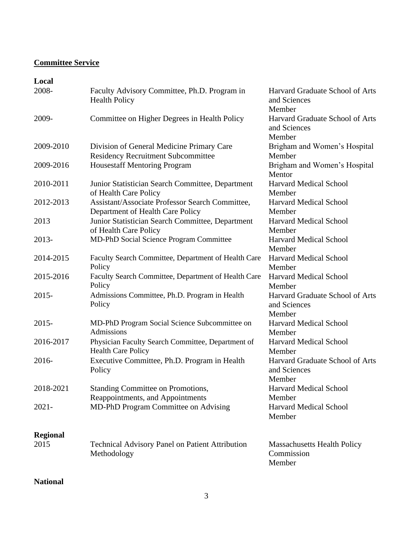## **Committee Service**

| Local                   |                                                                                        |                                                            |
|-------------------------|----------------------------------------------------------------------------------------|------------------------------------------------------------|
| 2008-                   | Faculty Advisory Committee, Ph.D. Program in<br><b>Health Policy</b>                   | Harvard Graduate School of Arts<br>and Sciences<br>Member  |
| 2009-                   | Committee on Higher Degrees in Health Policy                                           | Harvard Graduate School of Arts<br>and Sciences<br>Member  |
| 2009-2010               | Division of General Medicine Primary Care<br><b>Residency Recruitment Subcommittee</b> | Brigham and Women's Hospital<br>Member                     |
| 2009-2016               | <b>Housestaff Mentoring Program</b>                                                    | Brigham and Women's Hospital<br>Mentor                     |
| 2010-2011               | Junior Statistician Search Committee, Department<br>of Health Care Policy              | <b>Harvard Medical School</b><br>Member                    |
| 2012-2013               | Assistant/Associate Professor Search Committee,<br>Department of Health Care Policy    | <b>Harvard Medical School</b><br>Member                    |
| 2013                    | Junior Statistician Search Committee, Department<br>of Health Care Policy              | <b>Harvard Medical School</b><br>Member                    |
| 2013-                   | MD-PhD Social Science Program Committee                                                | <b>Harvard Medical School</b><br>Member                    |
| 2014-2015               | Faculty Search Committee, Department of Health Care<br>Policy                          | <b>Harvard Medical School</b><br>Member                    |
| 2015-2016               | Faculty Search Committee, Department of Health Care<br>Policy                          | <b>Harvard Medical School</b><br>Member                    |
| $2015 -$                | Admissions Committee, Ph.D. Program in Health<br>Policy                                | Harvard Graduate School of Arts<br>and Sciences<br>Member  |
| $2015 -$                | MD-PhD Program Social Science Subcommittee on<br>Admissions                            | <b>Harvard Medical School</b><br>Member                    |
| 2016-2017               | Physician Faculty Search Committee, Department of<br><b>Health Care Policy</b>         | <b>Harvard Medical School</b><br>Member                    |
| 2016-                   | Executive Committee, Ph.D. Program in Health<br>Policy                                 | Harvard Graduate School of Arts<br>and Sciences<br>Member  |
| 2018-2021               | Standing Committee on Promotions,<br>Reappointments, and Appointments                  | <b>Harvard Medical School</b><br>Member                    |
| $2021 -$                | MD-PhD Program Committee on Advising                                                   | <b>Harvard Medical School</b><br>Member                    |
| <b>Regional</b><br>2015 | <b>Technical Advisory Panel on Patient Attribution</b><br>Methodology                  | <b>Massachusetts Health Policy</b><br>Commission<br>Member |

## **National**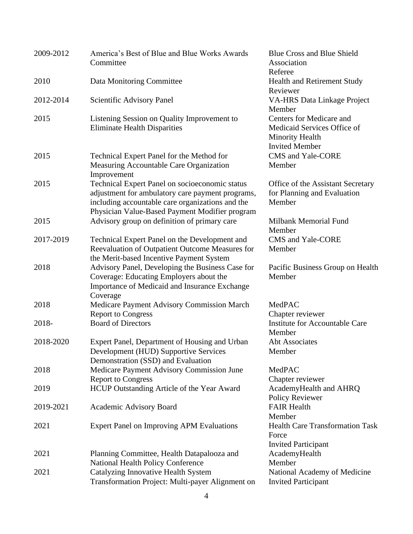| 2009-2012 | America's Best of Blue and Blue Works Awards<br>Committee                                                                                                                                                | <b>Blue Cross and Blue Shield</b><br>Association                                                           |
|-----------|----------------------------------------------------------------------------------------------------------------------------------------------------------------------------------------------------------|------------------------------------------------------------------------------------------------------------|
| 2010      | Data Monitoring Committee                                                                                                                                                                                | Referee<br><b>Health and Retirement Study</b><br>Reviewer                                                  |
| 2012-2014 | Scientific Advisory Panel                                                                                                                                                                                | VA-HRS Data Linkage Project<br>Member                                                                      |
| 2015      | Listening Session on Quality Improvement to<br><b>Eliminate Health Disparities</b>                                                                                                                       | Centers for Medicare and<br>Medicaid Services Office of<br><b>Minority Health</b><br><b>Invited Member</b> |
| 2015      | Technical Expert Panel for the Method for<br>Measuring Accountable Care Organization<br>Improvement                                                                                                      | CMS and Yale-CORE<br>Member                                                                                |
| 2015      | Technical Expert Panel on socioeconomic status<br>adjustment for ambulatory care payment programs,<br>including accountable care organizations and the<br>Physician Value-Based Payment Modifier program | Office of the Assistant Secretary<br>for Planning and Evaluation<br>Member                                 |
| 2015      | Advisory group on definition of primary care                                                                                                                                                             | Milbank Memorial Fund<br>Member                                                                            |
| 2017-2019 | Technical Expert Panel on the Development and<br>Reevaluation of Outpatient Outcome Measures for<br>the Merit-based Incentive Payment System                                                             | CMS and Yale-CORE<br>Member                                                                                |
| 2018      | Advisory Panel, Developing the Business Case for<br>Coverage: Educating Employers about the<br>Importance of Medicaid and Insurance Exchange<br>Coverage                                                 | Pacific Business Group on Health<br>Member                                                                 |
| 2018      | Medicare Payment Advisory Commission March<br><b>Report to Congress</b>                                                                                                                                  | MedPAC<br>Chapter reviewer                                                                                 |
| 2018-     | <b>Board of Directors</b>                                                                                                                                                                                | <b>Institute for Accountable Care</b><br>Member                                                            |
| 2018-2020 | Expert Panel, Department of Housing and Urban<br>Development (HUD) Supportive Services<br>Demonstration (SSD) and Evaluation                                                                             | <b>Abt Associates</b><br>Member                                                                            |
| 2018      | Medicare Payment Advisory Commission June<br><b>Report to Congress</b>                                                                                                                                   | MedPAC<br>Chapter reviewer                                                                                 |
| 2019      | HCUP Outstanding Article of the Year Award                                                                                                                                                               | AcademyHealth and AHRQ<br>Policy Reviewer                                                                  |
| 2019-2021 | Academic Advisory Board                                                                                                                                                                                  | <b>FAIR Health</b><br>Member                                                                               |
| 2021      | <b>Expert Panel on Improving APM Evaluations</b>                                                                                                                                                         | <b>Health Care Transformation Task</b><br>Force<br><b>Invited Participant</b>                              |
| 2021      | Planning Committee, Health Datapalooza and<br>National Health Policy Conference                                                                                                                          | AcademyHealth<br>Member                                                                                    |
| 2021      | Catalyzing Innovative Health System<br>Transformation Project: Multi-payer Alignment on                                                                                                                  | National Academy of Medicine<br><b>Invited Participant</b>                                                 |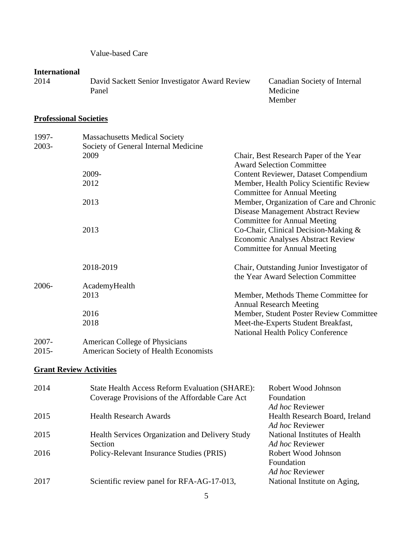Value-based Care

## **International**

| 2014 | David Sackett Senior Investigator Award Review | Canadian Society of Internal |
|------|------------------------------------------------|------------------------------|
|      | Panel                                          | Medicine                     |
|      |                                                | Member                       |

## **Professional Societies**

| 1997-                                         | <b>Massachusetts Medical Society</b>                       |  |                                                  |  |
|-----------------------------------------------|------------------------------------------------------------|--|--------------------------------------------------|--|
| 2003-<br>Society of General Internal Medicine |                                                            |  |                                                  |  |
|                                               | 2009                                                       |  | Chair, Best Research Paper of the Year           |  |
|                                               |                                                            |  | <b>Award Selection Committee</b>                 |  |
|                                               | 2009-                                                      |  | Content Reviewer, Dataset Compendium             |  |
|                                               | 2012                                                       |  | Member, Health Policy Scientific Review          |  |
|                                               |                                                            |  | <b>Committee for Annual Meeting</b>              |  |
|                                               | 2013                                                       |  | Member, Organization of Care and Chronic         |  |
|                                               |                                                            |  | Disease Management Abstract Review               |  |
|                                               |                                                            |  | <b>Committee for Annual Meeting</b>              |  |
|                                               | 2013                                                       |  | Co-Chair, Clinical Decision-Making &             |  |
|                                               |                                                            |  | <b>Economic Analyses Abstract Review</b>         |  |
|                                               |                                                            |  | <b>Committee for Annual Meeting</b>              |  |
|                                               | 2018-2019                                                  |  | Chair, Outstanding Junior Investigator of        |  |
|                                               |                                                            |  | the Year Award Selection Committee               |  |
| 2006-                                         | AcademyHealth                                              |  |                                                  |  |
|                                               | 2013                                                       |  | Member, Methods Theme Committee for              |  |
|                                               |                                                            |  | <b>Annual Research Meeting</b>                   |  |
|                                               | 2016                                                       |  | Member, Student Poster Review Committee          |  |
|                                               | 2018                                                       |  | Meet-the-Experts Student Breakfast,              |  |
|                                               |                                                            |  | <b>National Health Policy Conference</b>         |  |
| 2007-                                         | American College of Physicians                             |  |                                                  |  |
| 2015-                                         | American Society of Health Economists                      |  |                                                  |  |
|                                               | <b>Grant Review Activities</b>                             |  |                                                  |  |
| 2014                                          | <b>State Health Access Reform Evaluation (SHARE):</b>      |  | Robert Wood Johnson                              |  |
|                                               | Coverage Provisions of the Affordable Care Act             |  | Foundation                                       |  |
|                                               |                                                            |  | Ad hoc Reviewer                                  |  |
| 2015                                          | <b>Health Research Awards</b>                              |  | Health Research Board, Ireland                   |  |
|                                               |                                                            |  | Ad hoc Reviewer                                  |  |
| 2015                                          | Health Services Organization and Delivery Study<br>Section |  | National Institutes of Health<br>Ad hoc Reviewer |  |

2017 Scientific review panel for RFA-AG-17-013, National Institute on Aging,

Foundation *Ad hoc* Reviewer

2016 Policy-Relevant Insurance Studies (PRIS) Robert Wood Johnson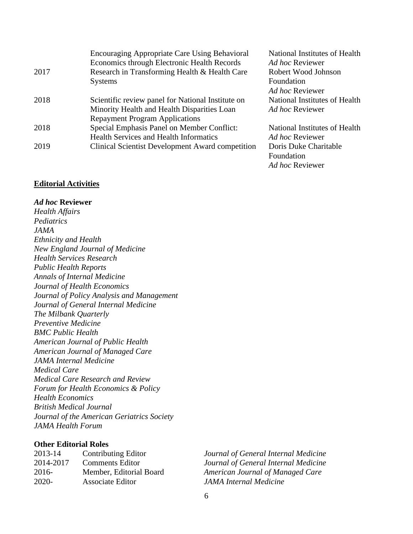|      | <b>Encouraging Appropriate Care Using Behavioral</b>    |
|------|---------------------------------------------------------|
|      | Economics through Electronic Health Records             |
| 2017 | Research in Transforming Health & Health Care           |
|      | <b>Systems</b>                                          |
| 2018 | Scientific review panel for National Institute on       |
|      | Minority Health and Health Disparities Loan             |
|      | <b>Repayment Program Applications</b>                   |
| 2018 | Special Emphasis Panel on Member Conflict:              |
|      | <b>Health Services and Health Informatics</b>           |
| 2019 | <b>Clinical Scientist Development Award competition</b> |
|      |                                                         |

National Institutes of Health *Ad hoc* Reviewer Robert Wood Johnson Foundation *Ad hoc* Reviewer National Institutes of Health *Ad hoc* Reviewer

National Institutes of Health *Ad hoc* Reviewer Doris Duke Charitable Foundation *Ad hoc* Reviewer

#### **Editorial Activities**

#### *Ad hoc* **Reviewer**

*Health Affairs Pediatrics JAMA Ethnicity and Health New England Journal of Medicine Health Services Research Public Health Reports Annals of Internal Medicine Journal of Health Economics Journal of Policy Analysis and Management Journal of General Internal Medicine The Milbank Quarterly Preventive Medicine BMC Public Health American Journal of Public Health American Journal of Managed Care JAMA Internal Medicine Medical Care Medical Care Research and Review Forum for Health Economics & Policy Health Economics British Medical Journal Journal of the American Geriatrics Society JAMA Health Forum*

#### **Other Editorial Roles**

| 2013-14   | Contributing Editor     |
|-----------|-------------------------|
| 2014-2017 | <b>Comments Editor</b>  |
| 2016-     | Member, Editorial Board |
| $2020-$   | Associate Editor        |

2013-14 Contributing Editor *Journal of General Internal Medicine* 2014-2017 Comments Editor *Journal of General Internal Medicine* 2016- Member, Editorial Board *American Journal of Managed Care* 2020- Associate Editor *JAMA Internal Medicine*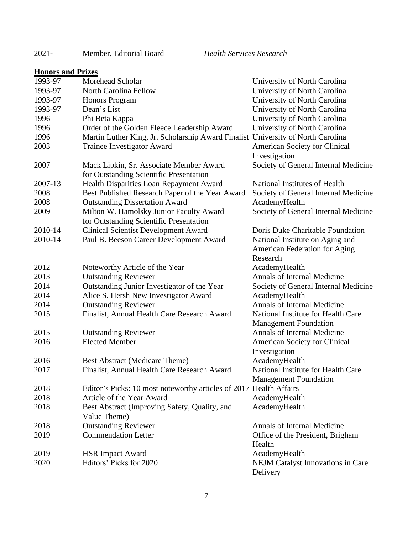2021- Member, Editorial Board *Health Services Research*

| <b>Honors and Prizes</b> |                                                                                 |                                          |  |
|--------------------------|---------------------------------------------------------------------------------|------------------------------------------|--|
| 1993-97                  | Morehead Scholar                                                                | University of North Carolina             |  |
| 1993-97                  | North Carolina Fellow                                                           | University of North Carolina             |  |
| 1993-97                  | <b>Honors Program</b>                                                           | University of North Carolina             |  |
| 1993-97                  | Dean's List                                                                     | University of North Carolina             |  |
| 1996                     | Phi Beta Kappa                                                                  | University of North Carolina             |  |
| 1996                     | Order of the Golden Fleece Leadership Award                                     | University of North Carolina             |  |
| 1996                     | Martin Luther King, Jr. Scholarship Award Finalist University of North Carolina |                                          |  |
| 2003                     | Trainee Investigator Award                                                      | American Society for Clinical            |  |
|                          |                                                                                 | Investigation                            |  |
| 2007                     | Mack Lipkin, Sr. Associate Member Award                                         | Society of General Internal Medicine     |  |
|                          | for Outstanding Scientific Presentation                                         |                                          |  |
| 2007-13                  | Health Disparities Loan Repayment Award                                         | National Institutes of Health            |  |
| 2008                     | Best Published Research Paper of the Year Award                                 | Society of General Internal Medicine     |  |
| 2008                     | <b>Outstanding Dissertation Award</b>                                           | AcademyHealth                            |  |
| 2009                     | Milton W. Hamolsky Junior Faculty Award                                         | Society of General Internal Medicine     |  |
|                          | for Outstanding Scientific Presentation                                         |                                          |  |
| 2010-14                  | <b>Clinical Scientist Development Award</b>                                     | Doris Duke Charitable Foundation         |  |
| 2010-14                  | Paul B. Beeson Career Development Award                                         | National Institute on Aging and          |  |
|                          |                                                                                 | American Federation for Aging            |  |
|                          |                                                                                 | Research                                 |  |
| 2012                     | Noteworthy Article of the Year                                                  | AcademyHealth                            |  |
| 2013                     | <b>Outstanding Reviewer</b>                                                     | Annals of Internal Medicine              |  |
| 2014                     | Outstanding Junior Investigator of the Year                                     | Society of General Internal Medicine     |  |
| 2014                     | Alice S. Hersh New Investigator Award                                           | AcademyHealth                            |  |
| 2014                     | <b>Outstanding Reviewer</b>                                                     | Annals of Internal Medicine              |  |
| 2015                     | Finalist, Annual Health Care Research Award                                     | National Institute for Health Care       |  |
|                          |                                                                                 | <b>Management Foundation</b>             |  |
| 2015                     | <b>Outstanding Reviewer</b>                                                     | <b>Annals of Internal Medicine</b>       |  |
| 2016                     | <b>Elected Member</b>                                                           | <b>American Society for Clinical</b>     |  |
|                          |                                                                                 | Investigation                            |  |
| 2016                     | <b>Best Abstract (Medicare Theme)</b>                                           | AcademyHealth                            |  |
| 2017                     | Finalist, Annual Health Care Research Award                                     | National Institute for Health Care       |  |
|                          |                                                                                 | <b>Management Foundation</b>             |  |
| 2018                     | Editor's Picks: 10 most noteworthy articles of 2017 Health Affairs              |                                          |  |
| 2018                     | Article of the Year Award                                                       | AcademyHealth                            |  |
| 2018                     | Best Abstract (Improving Safety, Quality, and                                   | AcademyHealth                            |  |
|                          | Value Theme)                                                                    |                                          |  |
| 2018                     | <b>Outstanding Reviewer</b>                                                     | <b>Annals of Internal Medicine</b>       |  |
| 2019                     | <b>Commendation Letter</b>                                                      | Office of the President, Brigham         |  |
|                          |                                                                                 | Health                                   |  |
| 2019                     | <b>HSR Impact Award</b>                                                         | AcademyHealth                            |  |
| 2020                     | Editors' Picks for 2020                                                         | <b>NEJM</b> Catalyst Innovations in Care |  |
|                          |                                                                                 | Delivery                                 |  |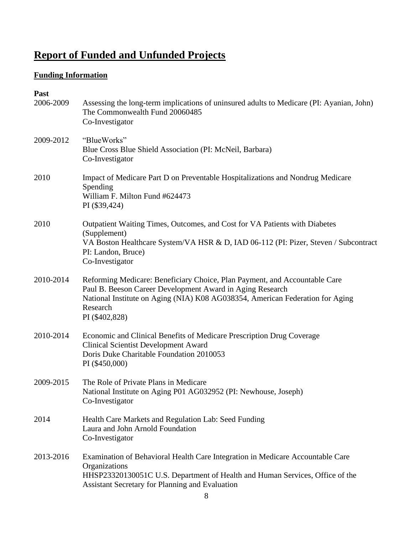# **Report of Funded and Unfunded Projects**

## **Funding Information**

**Past**

| і азі<br>2006-2009 | Assessing the long-term implications of uninsured adults to Medicare (PI: Ayanian, John)<br>The Commonwealth Fund 20060485<br>Co-Investigator                                                                                                          |
|--------------------|--------------------------------------------------------------------------------------------------------------------------------------------------------------------------------------------------------------------------------------------------------|
| 2009-2012          | "BlueWorks"<br>Blue Cross Blue Shield Association (PI: McNeil, Barbara)<br>Co-Investigator                                                                                                                                                             |
| 2010               | Impact of Medicare Part D on Preventable Hospitalizations and Nondrug Medicare<br>Spending<br>William F. Milton Fund #624473<br>PI (\$39,424)                                                                                                          |
| 2010               | Outpatient Waiting Times, Outcomes, and Cost for VA Patients with Diabetes                                                                                                                                                                             |
|                    | (Supplement)<br>VA Boston Healthcare System/VA HSR & D, IAD 06-112 (PI: Pizer, Steven / Subcontract<br>PI: Landon, Bruce)<br>Co-Investigator                                                                                                           |
| 2010-2014          | Reforming Medicare: Beneficiary Choice, Plan Payment, and Accountable Care<br>Paul B. Beeson Career Development Award in Aging Research<br>National Institute on Aging (NIA) K08 AG038354, American Federation for Aging<br>Research<br>PI (\$402,828) |
| 2010-2014          | Economic and Clinical Benefits of Medicare Prescription Drug Coverage<br><b>Clinical Scientist Development Award</b><br>Doris Duke Charitable Foundation 2010053<br>PI (\$450,000)                                                                     |
| 2009-2015          | The Role of Private Plans in Medicare<br>National Institute on Aging P01 AG032952 (PI: Newhouse, Joseph)<br>Co-Investigator                                                                                                                            |
| 2014               | Health Care Markets and Regulation Lab: Seed Funding<br>Laura and John Arnold Foundation<br>Co-Investigator                                                                                                                                            |
| 2013-2016          | Examination of Behavioral Health Care Integration in Medicare Accountable Care<br>Organizations<br>HHSP23320130051C U.S. Department of Health and Human Services, Office of the<br><b>Assistant Secretary for Planning and Evaluation</b>              |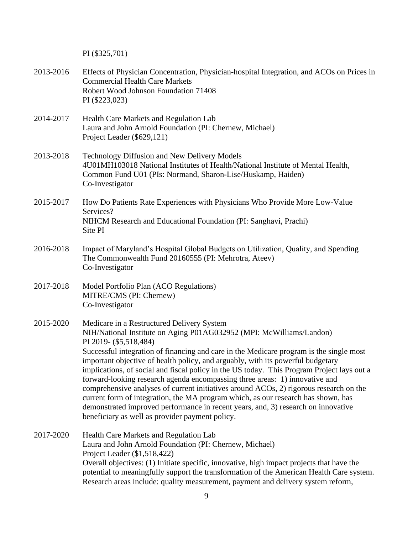PI (\$325,701)

| 2013-2016 | Effects of Physician Concentration, Physician-hospital Integration, and ACOs on Prices in<br><b>Commercial Health Care Markets</b><br>Robert Wood Johnson Foundation 71408<br>PI (\$223,023)                                                                                                                                                                                                                                                                                                                                                                                                                                                                                                                                                                                                                                   |
|-----------|--------------------------------------------------------------------------------------------------------------------------------------------------------------------------------------------------------------------------------------------------------------------------------------------------------------------------------------------------------------------------------------------------------------------------------------------------------------------------------------------------------------------------------------------------------------------------------------------------------------------------------------------------------------------------------------------------------------------------------------------------------------------------------------------------------------------------------|
| 2014-2017 | Health Care Markets and Regulation Lab<br>Laura and John Arnold Foundation (PI: Chernew, Michael)<br>Project Leader (\$629,121)                                                                                                                                                                                                                                                                                                                                                                                                                                                                                                                                                                                                                                                                                                |
| 2013-2018 | Technology Diffusion and New Delivery Models<br>4U01MH103018 National Institutes of Health/National Institute of Mental Health,<br>Common Fund U01 (PIs: Normand, Sharon-Lise/Huskamp, Haiden)<br>Co-Investigator                                                                                                                                                                                                                                                                                                                                                                                                                                                                                                                                                                                                              |
| 2015-2017 | How Do Patients Rate Experiences with Physicians Who Provide More Low-Value<br>Services?<br>NIHCM Research and Educational Foundation (PI: Sanghavi, Prachi)<br>Site PI                                                                                                                                                                                                                                                                                                                                                                                                                                                                                                                                                                                                                                                        |
| 2016-2018 | Impact of Maryland's Hospital Global Budgets on Utilization, Quality, and Spending<br>The Commonwealth Fund 20160555 (PI: Mehrotra, Ateev)<br>Co-Investigator                                                                                                                                                                                                                                                                                                                                                                                                                                                                                                                                                                                                                                                                  |
| 2017-2018 | Model Portfolio Plan (ACO Regulations)<br>MITRE/CMS (PI: Chernew)<br>Co-Investigator                                                                                                                                                                                                                                                                                                                                                                                                                                                                                                                                                                                                                                                                                                                                           |
| 2015-2020 | Medicare in a Restructured Delivery System<br>NIH/National Institute on Aging P01AG032952 (MPI: McWilliams/Landon)<br>PI 2019- (\$5,518,484)<br>Successful integration of financing and care in the Medicare program is the single most<br>important objective of health policy, and arguably, with its powerful budgetary<br>implications, of social and fiscal policy in the US today. This Program Project lays out a<br>forward-looking research agenda encompassing three areas: 1) innovative and<br>comprehensive analyses of current initiatives around ACOs, 2) rigorous research on the<br>current form of integration, the MA program which, as our research has shown, has<br>demonstrated improved performance in recent years, and, 3) research on innovative<br>beneficiary as well as provider payment policy. |
| 2017-2020 | Health Care Markets and Regulation Lab<br>Laura and John Arnold Foundation (PI: Chernew, Michael)<br>Project Leader (\$1,518,422)<br>Overall objectives: (1) Initiate specific, innovative, high impact projects that have the<br>potential to meaningfully support the transformation of the American Health Care system.<br>Research areas include: quality measurement, payment and delivery system reform,                                                                                                                                                                                                                                                                                                                                                                                                                 |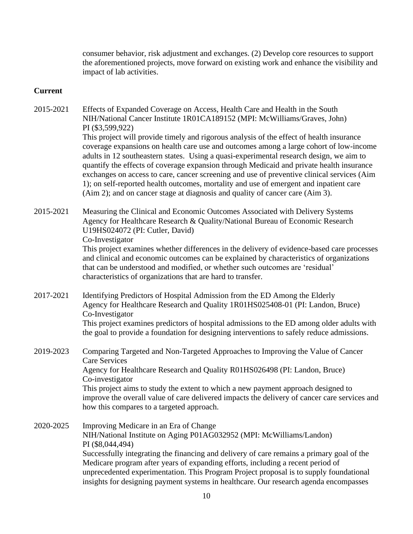consumer behavior, risk adjustment and exchanges. (2) Develop core resources to support the aforementioned projects, move forward on existing work and enhance the visibility and impact of lab activities.

## **Current**

| 2015-2021 | Effects of Expanded Coverage on Access, Health Care and Health in the South<br>NIH/National Cancer Institute 1R01CA189152 (MPI: McWilliams/Graves, John)<br>PI (\$3,599,922)                                                                                                                                                                                                                                                                                                                                                                                                                                                                       |
|-----------|----------------------------------------------------------------------------------------------------------------------------------------------------------------------------------------------------------------------------------------------------------------------------------------------------------------------------------------------------------------------------------------------------------------------------------------------------------------------------------------------------------------------------------------------------------------------------------------------------------------------------------------------------|
|           | This project will provide timely and rigorous analysis of the effect of health insurance<br>coverage expansions on health care use and outcomes among a large cohort of low-income<br>adults in 12 southeastern states. Using a quasi-experimental research design, we aim to<br>quantify the effects of coverage expansion through Medicaid and private health insurance<br>exchanges on access to care, cancer screening and use of preventive clinical services (Aim<br>1); on self-reported health outcomes, mortality and use of emergent and inpatient care<br>(Aim 2); and on cancer stage at diagnosis and quality of cancer care (Aim 3). |
| 2015-2021 | Measuring the Clinical and Economic Outcomes Associated with Delivery Systems<br>Agency for Healthcare Research & Quality/National Bureau of Economic Research<br>U19HS024072 (PI: Cutler, David)<br>Co-Investigator                                                                                                                                                                                                                                                                                                                                                                                                                               |
|           | This project examines whether differences in the delivery of evidence-based care processes<br>and clinical and economic outcomes can be explained by characteristics of organizations<br>that can be understood and modified, or whether such outcomes are 'residual'<br>characteristics of organizations that are hard to transfer.                                                                                                                                                                                                                                                                                                               |
| 2017-2021 | Identifying Predictors of Hospital Admission from the ED Among the Elderly<br>Agency for Healthcare Research and Quality 1R01HS025408-01 (PI: Landon, Bruce)<br>Co-Investigator<br>This project examines predictors of hospital admissions to the ED among older adults with<br>the goal to provide a foundation for designing interventions to safely reduce admissions.                                                                                                                                                                                                                                                                          |
|           |                                                                                                                                                                                                                                                                                                                                                                                                                                                                                                                                                                                                                                                    |
| 2019-2023 | Comparing Targeted and Non-Targeted Approaches to Improving the Value of Cancer<br><b>Care Services</b>                                                                                                                                                                                                                                                                                                                                                                                                                                                                                                                                            |
|           | Agency for Healthcare Research and Quality R01HS026498 (PI: Landon, Bruce)                                                                                                                                                                                                                                                                                                                                                                                                                                                                                                                                                                         |
|           | Co-investigator<br>This project aims to study the extent to which a new payment approach designed to<br>improve the overall value of care delivered impacts the delivery of cancer care services and<br>how this compares to a targeted approach.                                                                                                                                                                                                                                                                                                                                                                                                  |
| 2020-2025 | Improving Medicare in an Era of Change<br>NIH/National Institute on Aging P01AG032952 (MPI: McWilliams/Landon)<br>PI (\$8,044,494)                                                                                                                                                                                                                                                                                                                                                                                                                                                                                                                 |
|           | Successfully integrating the financing and delivery of care remains a primary goal of the<br>Medicare program after years of expanding efforts, including a recent period of<br>unprecedented experimentation. This Program Project proposal is to supply foundational<br>insights for designing payment systems in healthcare. Our research agenda encompasses                                                                                                                                                                                                                                                                                    |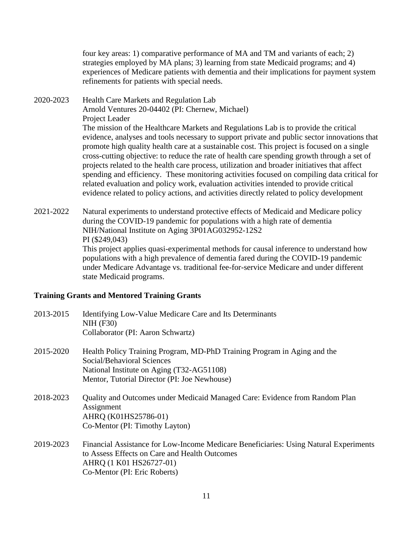four key areas: 1) comparative performance of MA and TM and variants of each; 2) strategies employed by MA plans; 3) learning from state Medicaid programs; and 4) experiences of Medicare patients with dementia and their implications for payment system refinements for patients with special needs.

2020-2023 Health Care Markets and Regulation Lab Arnold Ventures 20-04402 (PI: Chernew, Michael) Project Leader The mission of the Healthcare Markets and Regulations Lab is to provide the critical evidence, analyses and tools necessary to support private and public sector innovations that promote high quality health care at a sustainable cost. This project is focused on a single cross-cutting objective: to reduce the rate of health care spending growth through a set of projects related to the health care process, utilization and broader initiatives that affect spending and efficiency. These monitoring activities focused on compiling data critical for related evaluation and policy work, evaluation activities intended to provide critical evidence related to policy actions, and activities directly related to policy development

2021-2022 Natural experiments to understand protective effects of Medicaid and Medicare policy during the COVID-19 pandemic for populations with a high rate of dementia NIH/National Institute on Aging 3P01AG032952-12S2 PI (\$249,043) This project applies quasi-experimental methods for causal inference to understand how populations with a high prevalence of dementia fared during the COVID-19 pandemic under Medicare Advantage vs. traditional fee-for-service Medicare and under different state Medicaid programs.

#### **Training Grants and Mentored Training Grants**

| 2013-2015 | Identifying Low-Value Medicare Care and Its Determinants<br><b>NIH (F30)</b>                                                                                                                      |
|-----------|---------------------------------------------------------------------------------------------------------------------------------------------------------------------------------------------------|
|           | Collaborator (PI: Aaron Schwartz)                                                                                                                                                                 |
| 2015-2020 | Health Policy Training Program, MD-PhD Training Program in Aging and the<br>Social/Behavioral Sciences                                                                                            |
|           | National Institute on Aging (T32-AG51108)<br>Mentor, Tutorial Director (PI: Joe Newhouse)                                                                                                         |
|           |                                                                                                                                                                                                   |
| 2018-2023 | Quality and Outcomes under Medicaid Managed Care: Evidence from Random Plan<br>Assignment                                                                                                         |
|           | AHRQ (K01HS25786-01)                                                                                                                                                                              |
|           | Co-Mentor (PI: Timothy Layton)                                                                                                                                                                    |
| 2019-2023 | Financial Assistance for Low-Income Medicare Beneficiaries: Using Natural Experiments<br>to Assess Effects on Care and Health Outcomes<br>AHRQ (1 K01 HS26727-01)<br>Co-Mentor (PI: Eric Roberts) |
|           |                                                                                                                                                                                                   |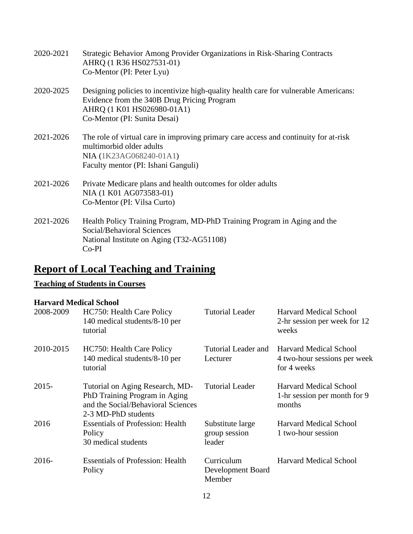| 2020-2021 | Strategic Behavior Among Provider Organizations in Risk-Sharing Contracts<br>AHRQ (1 R36 HS027531-01)<br>Co-Mentor (PI: Peter Lyu)                                                                |
|-----------|---------------------------------------------------------------------------------------------------------------------------------------------------------------------------------------------------|
| 2020-2025 | Designing policies to incentivize high-quality health care for vulnerable Americans:<br>Evidence from the 340B Drug Pricing Program<br>AHRQ (1 K01 HS026980-01A1)<br>Co-Mentor (PI: Sunita Desai) |
| 2021-2026 | The role of virtual care in improving primary care access and continuity for at-risk<br>multimorbid older adults<br>NIA (1K23AG068240-01A1)<br>Faculty mentor (PI: Ishani Ganguli)                |
| 2021-2026 | Private Medicare plans and health outcomes for older adults<br>NIA (1 K01 AG073583-01)<br>Co-Mentor (PI: Vilsa Curto)                                                                             |
| 2021-2026 | Health Policy Training Program, MD-PhD Training Program in Aging and the<br>Social/Behavioral Sciences<br>National Institute on Aging (T32-AG51108)<br>$Co-PI$                                    |

# **Report of Local Teaching and Training**

# **Teaching of Students in Courses**

## **Harvard Medical School**

| 2008-2009 | HC750: Health Care Policy<br>140 medical students/8-10 per<br>tutorial                                                        | <b>Tutorial Leader</b>                      | <b>Harvard Medical School</b><br>2-hr session per week for 12<br>weeks       |
|-----------|-------------------------------------------------------------------------------------------------------------------------------|---------------------------------------------|------------------------------------------------------------------------------|
| 2010-2015 | HC750: Health Care Policy<br>140 medical students/8-10 per<br>tutorial                                                        | Tutorial Leader and<br>Lecturer             | <b>Harvard Medical School</b><br>4 two-hour sessions per week<br>for 4 weeks |
| $2015 -$  | Tutorial on Aging Research, MD-<br>PhD Training Program in Aging<br>and the Social/Behavioral Sciences<br>2-3 MD-PhD students | <b>Tutorial Leader</b>                      | <b>Harvard Medical School</b><br>1-hr session per month for 9<br>months      |
| 2016      | <b>Essentials of Profession: Health</b><br>Policy<br>30 medical students                                                      | Substitute large<br>group session<br>leader | <b>Harvard Medical School</b><br>1 two-hour session                          |
| $2016-$   | <b>Essentials of Profession: Health</b><br>Policy                                                                             | Curriculum<br>Development Board<br>Member   | <b>Harvard Medical School</b>                                                |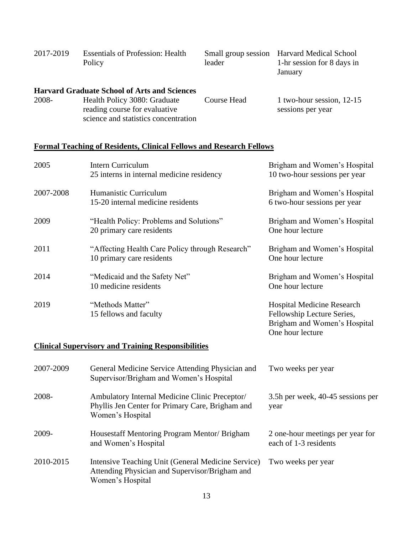| 2017-2019 | <b>Essentials of Profession: Health</b><br>Policy             | leader      | Small group session Harvard Medical School<br>1-hr session for 8 days in<br>January |
|-----------|---------------------------------------------------------------|-------------|-------------------------------------------------------------------------------------|
|           | <b>Harvard Graduate School of Arts and Sciences</b>           |             |                                                                                     |
| 2008-     | Health Policy 3080: Graduate<br>reading course for evaluative | Course Head | 1 two-hour session, 12-15<br>sessions per year                                      |

## **Formal Teaching of Residents, Clinical Fellows and Research Fellows**

science and statistics concentration

| 2005      | Intern Curriculum<br>25 interns in internal medicine residency               | Brigham and Women's Hospital<br>10 two-hour sessions per year                                                       |
|-----------|------------------------------------------------------------------------------|---------------------------------------------------------------------------------------------------------------------|
| 2007-2008 | Humanistic Curriculum<br>15-20 internal medicine residents                   | Brigham and Women's Hospital<br>6 two-hour sessions per year                                                        |
| 2009      | "Health Policy: Problems and Solutions"<br>20 primary care residents         | Brigham and Women's Hospital<br>One hour lecture                                                                    |
| 2011      | "Affecting Health Care Policy through Research"<br>10 primary care residents | Brigham and Women's Hospital<br>One hour lecture                                                                    |
| 2014      | "Medicaid and the Safety Net"<br>10 medicine residents                       | Brigham and Women's Hospital<br>One hour lecture                                                                    |
| 2019      | "Methods Matter"<br>15 fellows and faculty                                   | <b>Hospital Medicine Research</b><br>Fellowship Lecture Series,<br>Brigham and Women's Hospital<br>One hour lecture |
|           | Clinical Supervisory and Training Desponsibilities                           |                                                                                                                     |

#### **Clinical Supervisory and Training Responsibilities**

| 2007-2009 | General Medicine Service Attending Physician and<br>Supervisor/Brigham and Women's Hospital                              | Two weeks per year                                        |
|-----------|--------------------------------------------------------------------------------------------------------------------------|-----------------------------------------------------------|
| 2008-     | Ambulatory Internal Medicine Clinic Preceptor/<br>Phyllis Jen Center for Primary Care, Brigham and<br>Women's Hospital   | 3.5h per week, 40-45 sessions per<br>year                 |
| 2009-     | Housestaff Mentoring Program Mentor/ Brigham<br>and Women's Hospital                                                     | 2 one-hour meetings per year for<br>each of 1-3 residents |
| 2010-2015 | Intensive Teaching Unit (General Medicine Service)<br>Attending Physician and Supervisor/Brigham and<br>Women's Hospital | Two weeks per year                                        |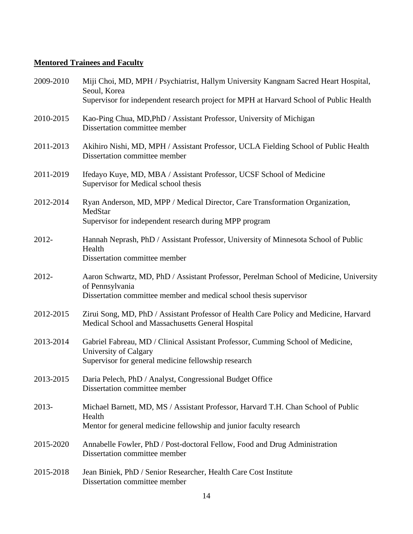## **Mentored Trainees and Faculty**

| 2009-2010 | Miji Choi, MD, MPH / Psychiatrist, Hallym University Kangnam Sacred Heart Hospital,<br>Seoul, Korea<br>Supervisor for independent research project for MPH at Harvard School of Public Health |
|-----------|-----------------------------------------------------------------------------------------------------------------------------------------------------------------------------------------------|
|           |                                                                                                                                                                                               |
| 2010-2015 | Kao-Ping Chua, MD, PhD / Assistant Professor, University of Michigan<br>Dissertation committee member                                                                                         |
| 2011-2013 | Akihiro Nishi, MD, MPH / Assistant Professor, UCLA Fielding School of Public Health<br>Dissertation committee member                                                                          |
| 2011-2019 | Ifedayo Kuye, MD, MBA / Assistant Professor, UCSF School of Medicine<br>Supervisor for Medical school thesis                                                                                  |
| 2012-2014 | Ryan Anderson, MD, MPP / Medical Director, Care Transformation Organization,<br>MedStar                                                                                                       |
|           | Supervisor for independent research during MPP program                                                                                                                                        |
| 2012-     | Hannah Neprash, PhD / Assistant Professor, University of Minnesota School of Public<br>Health<br>Dissertation committee member                                                                |
| 2012-     | Aaron Schwartz, MD, PhD / Assistant Professor, Perelman School of Medicine, University<br>of Pennsylvania<br>Dissertation committee member and medical school thesis supervisor               |
| 2012-2015 | Zirui Song, MD, PhD / Assistant Professor of Health Care Policy and Medicine, Harvard<br>Medical School and Massachusetts General Hospital                                                    |
| 2013-2014 | Gabriel Fabreau, MD / Clinical Assistant Professor, Cumming School of Medicine,<br>University of Calgary<br>Supervisor for general medicine fellowship research                               |
| 2013-2015 | Daria Pelech, PhD / Analyst, Congressional Budget Office<br>Dissertation committee member                                                                                                     |
| 2013-     | Michael Barnett, MD, MS / Assistant Professor, Harvard T.H. Chan School of Public<br>Health<br>Mentor for general medicine fellowship and junior faculty research                             |
| 2015-2020 | Annabelle Fowler, PhD / Post-doctoral Fellow, Food and Drug Administration<br>Dissertation committee member                                                                                   |
| 2015-2018 | Jean Biniek, PhD / Senior Researcher, Health Care Cost Institute<br>Dissertation committee member                                                                                             |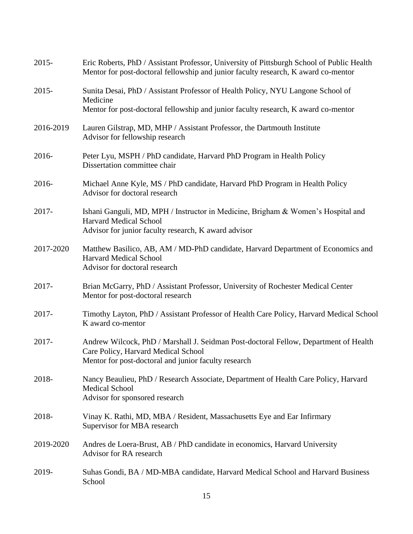| $2015 -$  | Eric Roberts, PhD / Assistant Professor, University of Pittsburgh School of Public Health<br>Mentor for post-doctoral fellowship and junior faculty research, K award co-mentor     |
|-----------|-------------------------------------------------------------------------------------------------------------------------------------------------------------------------------------|
| $2015 -$  | Sunita Desai, PhD / Assistant Professor of Health Policy, NYU Langone School of<br>Medicine<br>Mentor for post-doctoral fellowship and junior faculty research, K award co-mentor   |
|           |                                                                                                                                                                                     |
| 2016-2019 | Lauren Gilstrap, MD, MHP / Assistant Professor, the Dartmouth Institute<br>Advisor for fellowship research                                                                          |
| 2016-     | Peter Lyu, MSPH / PhD candidate, Harvard PhD Program in Health Policy<br>Dissertation committee chair                                                                               |
| 2016-     | Michael Anne Kyle, MS / PhD candidate, Harvard PhD Program in Health Policy<br>Advisor for doctoral research                                                                        |
| 2017-     | Ishani Ganguli, MD, MPH / Instructor in Medicine, Brigham & Women's Hospital and<br><b>Harvard Medical School</b><br>Advisor for junior faculty research, K award advisor           |
| 2017-2020 | Matthew Basilico, AB, AM / MD-PhD candidate, Harvard Department of Economics and<br><b>Harvard Medical School</b><br>Advisor for doctoral research                                  |
| 2017-     | Brian McGarry, PhD / Assistant Professor, University of Rochester Medical Center<br>Mentor for post-doctoral research                                                               |
| $2017 -$  | Timothy Layton, PhD / Assistant Professor of Health Care Policy, Harvard Medical School<br>K award co-mentor                                                                        |
| 2017-     | Andrew Wilcock, PhD / Marshall J. Seidman Post-doctoral Fellow, Department of Health<br>Care Policy, Harvard Medical School<br>Mentor for post-doctoral and junior faculty research |
| 2018-     | Nancy Beaulieu, PhD / Research Associate, Department of Health Care Policy, Harvard<br><b>Medical School</b><br>Advisor for sponsored research                                      |
| 2018-     | Vinay K. Rathi, MD, MBA / Resident, Massachusetts Eye and Ear Infirmary<br>Supervisor for MBA research                                                                              |
| 2019-2020 | Andres de Loera-Brust, AB / PhD candidate in economics, Harvard University<br>Advisor for RA research                                                                               |
| 2019-     | Suhas Gondi, BA / MD-MBA candidate, Harvard Medical School and Harvard Business<br>School                                                                                           |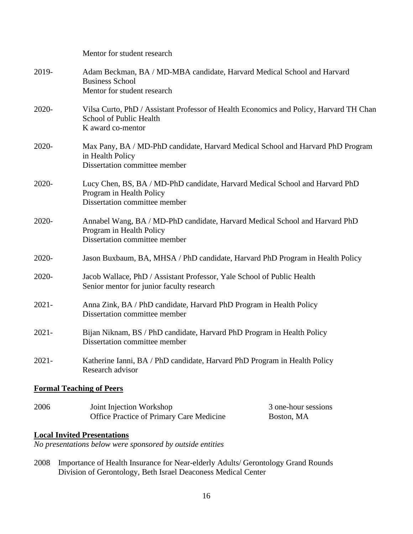| 2019-<br>Adam Beckman, BA / MD-MBA candidate, Harvard Medical School and Harvard<br><b>Business School</b><br>Mentor for student research          |  |  |  |  |
|----------------------------------------------------------------------------------------------------------------------------------------------------|--|--|--|--|
| 2020-<br>Vilsa Curto, PhD / Assistant Professor of Health Economics and Policy, Harvard TH Chan<br>School of Public Health<br>K award co-mentor    |  |  |  |  |
| 2020-<br>Max Pany, BA / MD-PhD candidate, Harvard Medical School and Harvard PhD Program<br>in Health Policy<br>Dissertation committee member      |  |  |  |  |
| 2020-<br>Lucy Chen, BS, BA / MD-PhD candidate, Harvard Medical School and Harvard PhD<br>Program in Health Policy<br>Dissertation committee member |  |  |  |  |
| 2020-<br>Annabel Wang, BA / MD-PhD candidate, Harvard Medical School and Harvard PhD<br>Program in Health Policy<br>Dissertation committee member  |  |  |  |  |
| 2020-<br>Jason Buxbaum, BA, MHSA / PhD candidate, Harvard PhD Program in Health Policy                                                             |  |  |  |  |
| Jacob Wallace, PhD / Assistant Professor, Yale School of Public Health<br>2020-<br>Senior mentor for junior faculty research                       |  |  |  |  |
| $2021 -$<br>Anna Zink, BA / PhD candidate, Harvard PhD Program in Health Policy<br>Dissertation committee member                                   |  |  |  |  |
| $2021 -$<br>Bijan Niknam, BS / PhD candidate, Harvard PhD Program in Health Policy<br>Dissertation committee member                                |  |  |  |  |
| $2021 -$<br>Katherine Ianni, BA / PhD candidate, Harvard PhD Program in Health Policy<br>Research advisor                                          |  |  |  |  |
| <b>Formal Teaching of Peers</b>                                                                                                                    |  |  |  |  |
| 2006<br>Joint Injection Workshop<br>3 one-hour sessions<br>Office Practice of Primary Care Medicine<br>Boston, MA                                  |  |  |  |  |
| <b>Local Invited Presentations</b><br>No presentations below were sponsored by outside entities                                                    |  |  |  |  |

2008 Importance of Health Insurance for Near-elderly Adults/ Gerontology Grand Rounds Division of Gerontology, Beth Israel Deaconess Medical Center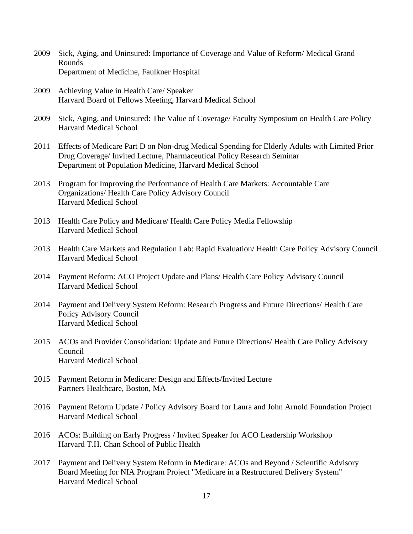- 2009 Sick, Aging, and Uninsured: Importance of Coverage and Value of Reform/ Medical Grand Rounds Department of Medicine, Faulkner Hospital
- 2009 Achieving Value in Health Care/ Speaker Harvard Board of Fellows Meeting, Harvard Medical School
- 2009 Sick, Aging, and Uninsured: The Value of Coverage/ Faculty Symposium on Health Care Policy Harvard Medical School
- 2011 Effects of Medicare Part D on Non-drug Medical Spending for Elderly Adults with Limited Prior Drug Coverage/ Invited Lecture, Pharmaceutical Policy Research Seminar Department of Population Medicine, Harvard Medical School
- 2013 Program for Improving the Performance of Health Care Markets: Accountable Care Organizations/ Health Care Policy Advisory Council Harvard Medical School
- 2013 Health Care Policy and Medicare/ Health Care Policy Media Fellowship Harvard Medical School
- 2013 Health Care Markets and Regulation Lab: Rapid Evaluation/ Health Care Policy Advisory Council Harvard Medical School
- 2014 Payment Reform: ACO Project Update and Plans/ Health Care Policy Advisory Council Harvard Medical School
- 2014 Payment and Delivery System Reform: Research Progress and Future Directions/ Health Care Policy Advisory Council Harvard Medical School
- 2015 ACOs and Provider Consolidation: Update and Future Directions/ Health Care Policy Advisory Council Harvard Medical School
- 2015 Payment Reform in Medicare: Design and Effects/Invited Lecture Partners Healthcare, Boston, MA
- 2016 Payment Reform Update / Policy Advisory Board for Laura and John Arnold Foundation Project Harvard Medical School
- 2016 ACOs: Building on Early Progress / Invited Speaker for ACO Leadership Workshop Harvard T.H. Chan School of Public Health
- 2017 Payment and Delivery System Reform in Medicare: ACOs and Beyond / Scientific Advisory Board Meeting for NIA Program Project "Medicare in a Restructured Delivery System" Harvard Medical School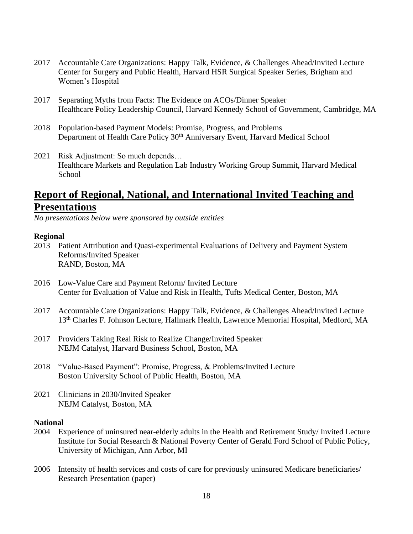- 2017 Accountable Care Organizations: Happy Talk, Evidence, & Challenges Ahead/Invited Lecture Center for Surgery and Public Health, Harvard HSR Surgical Speaker Series, Brigham and Women's Hospital
- 2017 Separating Myths from Facts: The Evidence on ACOs/Dinner Speaker Healthcare Policy Leadership Council, Harvard Kennedy School of Government, Cambridge, MA
- 2018 Population-based Payment Models: Promise, Progress, and Problems Department of Health Care Policy 30<sup>th</sup> Anniversary Event, Harvard Medical School
- 2021 Risk Adjustment: So much depends… Healthcare Markets and Regulation Lab Industry Working Group Summit, Harvard Medical School

# **Report of Regional, National, and International Invited Teaching and Presentations**

*No presentations below were sponsored by outside entities*

#### **Regional**

- 2013 Patient Attribution and Quasi-experimental Evaluations of Delivery and Payment System Reforms/Invited Speaker RAND, Boston, MA
- 2016 Low-Value Care and Payment Reform/ Invited Lecture Center for Evaluation of Value and Risk in Health, Tufts Medical Center, Boston, MA
- 2017 Accountable Care Organizations: Happy Talk, Evidence, & Challenges Ahead/Invited Lecture 13th Charles F. Johnson Lecture, Hallmark Health, Lawrence Memorial Hospital, Medford, MA
- 2017 Providers Taking Real Risk to Realize Change/Invited Speaker NEJM Catalyst, Harvard Business School, Boston, MA
- 2018 "Value-Based Payment": Promise, Progress, & Problems/Invited Lecture Boston University School of Public Health, Boston, MA
- 2021 Clinicians in 2030/Invited Speaker NEJM Catalyst, Boston, MA

#### **National**

- 2004 Experience of uninsured near-elderly adults in the Health and Retirement Study/ Invited Lecture Institute for Social Research & National Poverty Center of Gerald Ford School of Public Policy, University of Michigan, Ann Arbor, MI
- 2006 Intensity of health services and costs of care for previously uninsured Medicare beneficiaries/ Research Presentation (paper)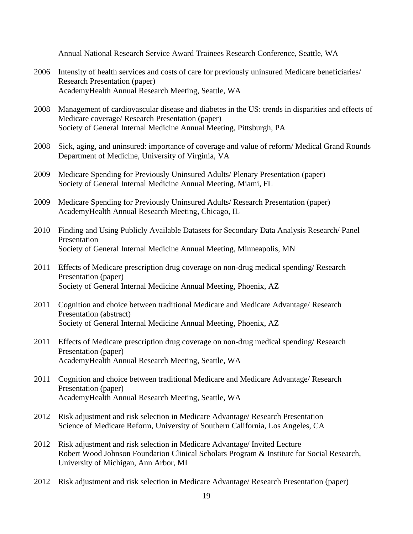Annual National Research Service Award Trainees Research Conference, Seattle, WA

- 2006 Intensity of health services and costs of care for previously uninsured Medicare beneficiaries/ Research Presentation (paper) AcademyHealth Annual Research Meeting, Seattle, WA
- 2008 Management of cardiovascular disease and diabetes in the US: trends in disparities and effects of Medicare coverage/ Research Presentation (paper) Society of General Internal Medicine Annual Meeting, Pittsburgh, PA
- 2008 Sick, aging, and uninsured: importance of coverage and value of reform/ Medical Grand Rounds Department of Medicine, University of Virginia, VA
- 2009 Medicare Spending for Previously Uninsured Adults/ Plenary Presentation (paper) Society of General Internal Medicine Annual Meeting, Miami, FL
- 2009 Medicare Spending for Previously Uninsured Adults/ Research Presentation (paper) AcademyHealth Annual Research Meeting, Chicago, IL
- 2010 Finding and Using Publicly Available Datasets for Secondary Data Analysis Research/ Panel Presentation Society of General Internal Medicine Annual Meeting, Minneapolis, MN
- 2011 Effects of Medicare prescription drug coverage on non-drug medical spending/ Research Presentation (paper) Society of General Internal Medicine Annual Meeting, Phoenix, AZ
- 2011 Cognition and choice between traditional Medicare and Medicare Advantage/ Research Presentation (abstract) Society of General Internal Medicine Annual Meeting, Phoenix, AZ
- 2011 Effects of Medicare prescription drug coverage on non-drug medical spending/ Research Presentation (paper) AcademyHealth Annual Research Meeting, Seattle, WA
- 2011 Cognition and choice between traditional Medicare and Medicare Advantage/ Research Presentation (paper) AcademyHealth Annual Research Meeting, Seattle, WA
- 2012 Risk adjustment and risk selection in Medicare Advantage/ Research Presentation Science of Medicare Reform, University of Southern California, Los Angeles, CA
- 2012 Risk adjustment and risk selection in Medicare Advantage/ Invited Lecture Robert Wood Johnson Foundation Clinical Scholars Program & Institute for Social Research, University of Michigan, Ann Arbor, MI
- 2012 Risk adjustment and risk selection in Medicare Advantage/ Research Presentation (paper)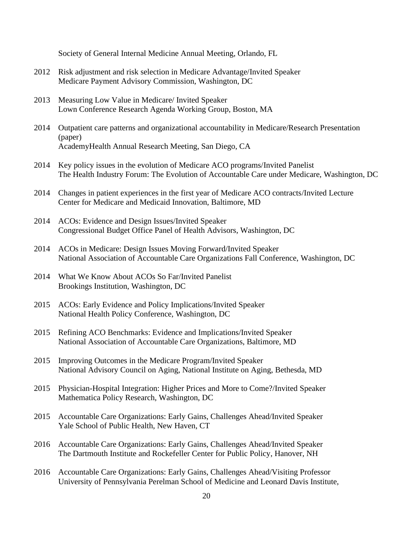Society of General Internal Medicine Annual Meeting, Orlando, FL

- 2012 Risk adjustment and risk selection in Medicare Advantage/Invited Speaker Medicare Payment Advisory Commission, Washington, DC
- 2013 Measuring Low Value in Medicare/ Invited Speaker Lown Conference Research Agenda Working Group, Boston, MA
- 2014 Outpatient care patterns and organizational accountability in Medicare/Research Presentation (paper) AcademyHealth Annual Research Meeting, San Diego, CA
- 2014 Key policy issues in the evolution of Medicare ACO programs/Invited Panelist The Health Industry Forum: The Evolution of Accountable Care under Medicare, Washington, DC
- 2014 Changes in patient experiences in the first year of Medicare ACO contracts/Invited Lecture Center for Medicare and Medicaid Innovation, Baltimore, MD
- 2014 ACOs: Evidence and Design Issues/Invited Speaker Congressional Budget Office Panel of Health Advisors, Washington, DC
- 2014 ACOs in Medicare: Design Issues Moving Forward/Invited Speaker National Association of Accountable Care Organizations Fall Conference, Washington, DC
- 2014 What We Know About ACOs So Far/Invited Panelist Brookings Institution, Washington, DC
- 2015 ACOs: Early Evidence and Policy Implications/Invited Speaker National Health Policy Conference, Washington, DC
- 2015 Refining ACO Benchmarks: Evidence and Implications/Invited Speaker National Association of Accountable Care Organizations, Baltimore, MD
- 2015 Improving Outcomes in the Medicare Program/Invited Speaker National Advisory Council on Aging, National Institute on Aging, Bethesda, MD
- 2015 Physician-Hospital Integration: Higher Prices and More to Come?/Invited Speaker Mathematica Policy Research, Washington, DC
- 2015 Accountable Care Organizations: Early Gains, Challenges Ahead/Invited Speaker Yale School of Public Health, New Haven, CT
- 2016 Accountable Care Organizations: Early Gains, Challenges Ahead/Invited Speaker The Dartmouth Institute and Rockefeller Center for Public Policy, Hanover, NH
- 2016 Accountable Care Organizations: Early Gains, Challenges Ahead/Visiting Professor University of Pennsylvania Perelman School of Medicine and Leonard Davis Institute,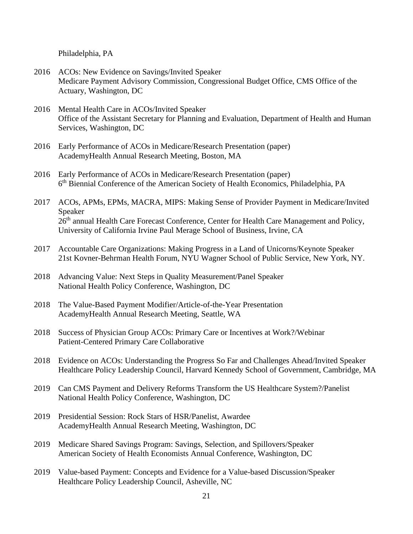Philadelphia, PA

- 2016 ACOs: New Evidence on Savings/Invited Speaker Medicare Payment Advisory Commission, Congressional Budget Office, CMS Office of the Actuary, Washington, DC
- 2016 Mental Health Care in ACOs/Invited Speaker Office of the Assistant Secretary for Planning and Evaluation, Department of Health and Human Services, Washington, DC
- 2016 Early Performance of ACOs in Medicare/Research Presentation (paper) AcademyHealth Annual Research Meeting, Boston, MA
- 2016 Early Performance of ACOs in Medicare/Research Presentation (paper) 6<sup>th</sup> Biennial Conference of the American Society of Health Economics, Philadelphia, PA
- 2017 ACOs, APMs, EPMs, MACRA, MIPS: Making Sense of Provider Payment in Medicare/Invited Speaker 26th annual Health Care Forecast Conference, Center for Health Care Management and Policy, University of California Irvine Paul Merage School of Business, Irvine, CA
- 2017 Accountable Care Organizations: Making Progress in a Land of Unicorns/Keynote Speaker 21st Kovner-Behrman Health Forum, NYU Wagner School of Public Service, New York, NY.
- 2018 Advancing Value: Next Steps in Quality Measurement/Panel Speaker National Health Policy Conference, Washington, DC
- 2018 The Value-Based Payment Modifier/Article-of-the-Year Presentation AcademyHealth Annual Research Meeting, Seattle, WA
- 2018 Success of Physician Group ACOs: Primary Care or Incentives at Work?/Webinar Patient-Centered Primary Care Collaborative
- 2018 Evidence on ACOs: Understanding the Progress So Far and Challenges Ahead/Invited Speaker Healthcare Policy Leadership Council, Harvard Kennedy School of Government, Cambridge, MA
- 2019 Can CMS Payment and Delivery Reforms Transform the US Healthcare System?/Panelist National Health Policy Conference, Washington, DC
- 2019 Presidential Session: Rock Stars of HSR/Panelist, Awardee AcademyHealth Annual Research Meeting, Washington, DC
- 2019 Medicare Shared Savings Program: Savings, Selection, and Spillovers/Speaker American Society of Health Economists Annual Conference, Washington, DC
- 2019 Value-based Payment: Concepts and Evidence for a Value-based Discussion/Speaker Healthcare Policy Leadership Council, Asheville, NC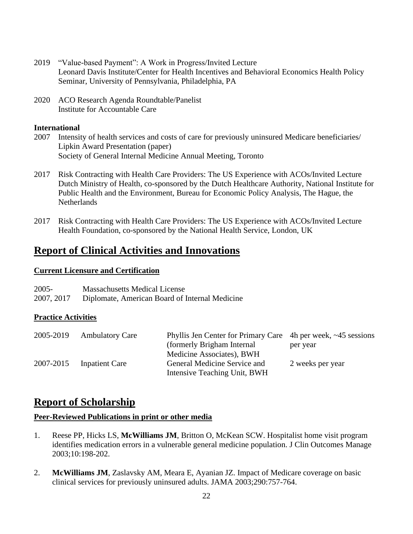- 2019 "Value-based Payment": A Work in Progress/Invited Lecture Leonard Davis Institute/Center for Health Incentives and Behavioral Economics Health Policy Seminar, University of Pennsylvania, Philadelphia, PA
- 2020 ACO Research Agenda Roundtable/Panelist Institute for Accountable Care

### **International**

- 2007 Intensity of health services and costs of care for previously uninsured Medicare beneficiaries/ Lipkin Award Presentation (paper) Society of General Internal Medicine Annual Meeting, Toronto
- 2017 Risk Contracting with Health Care Providers: The US Experience with ACOs/Invited Lecture Dutch Ministry of Health, co-sponsored by the Dutch Healthcare Authority, National Institute for Public Health and the Environment, Bureau for Economic Policy Analysis, The Hague, the **Netherlands**
- 2017 Risk Contracting with Health Care Providers: The US Experience with ACOs/Invited Lecture Health Foundation, co-sponsored by the National Health Service, London, UK

# **Report of Clinical Activities and Innovations**

## **Current Licensure and Certification**

| $2005 -$   | <b>Massachusetts Medical License</b>           |
|------------|------------------------------------------------|
| 2007, 2017 | Diplomate, American Board of Internal Medicine |

## **Practice Activities**

| 2005-2019 | <b>Ambulatory Care</b> | Phyllis Jen Center for Primary Care $4h$ per week, $\sim$ 45 sessions |                  |
|-----------|------------------------|-----------------------------------------------------------------------|------------------|
|           |                        | (formerly Brigham Internal)                                           | per year         |
|           |                        | Medicine Associates), BWH                                             |                  |
| 2007-2015 | <b>Inpatient Care</b>  | General Medicine Service and                                          | 2 weeks per year |
|           |                        | Intensive Teaching Unit, BWH                                          |                  |

# **Report of Scholarship**

### **Peer-Reviewed Publications in print or other media**

- 1. Reese PP, Hicks LS, **McWilliams JM**, Britton O, McKean SCW. Hospitalist home visit program identifies medication errors in a vulnerable general medicine population. J Clin Outcomes Manage 2003;10:198-202.
- 2. **McWilliams JM**, Zaslavsky AM, Meara E, Ayanian JZ. Impact of Medicare coverage on basic clinical services for previously uninsured adults. JAMA 2003;290:757-764.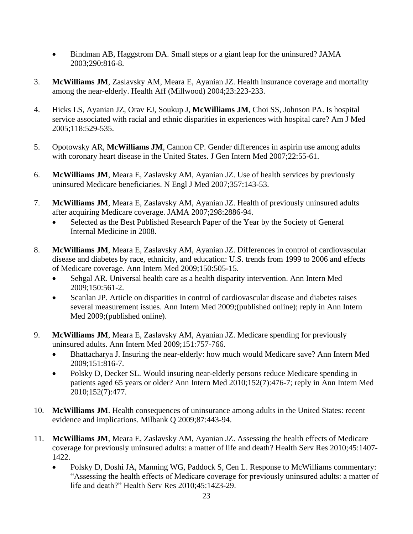- Bindman AB, Haggstrom DA. Small steps or a giant leap for the uninsured? JAMA 2003;290:816-8.
- 3. **McWilliams JM**, Zaslavsky AM, Meara E, Ayanian JZ. Health insurance coverage and mortality among the near-elderly. Health Aff (Millwood) 2004;23:223-233.
- 4. Hicks LS, Ayanian JZ, Orav EJ, Soukup J, **McWilliams JM**, Choi SS, Johnson PA. Is hospital service associated with racial and ethnic disparities in experiences with hospital care? Am J Med 2005;118:529-535.
- 5. Opotowsky AR, **McWilliams JM**, Cannon CP. Gender differences in aspirin use among adults with coronary heart disease in the United States. J Gen Intern Med 2007;22:55-61.
- 6. **McWilliams JM**, Meara E, Zaslavsky AM, Ayanian JZ. Use of health services by previously uninsured Medicare beneficiaries. N Engl J Med 2007;357:143-53.
- 7. **McWilliams JM**, Meara E, Zaslavsky AM, Ayanian JZ. Health of previously uninsured adults after acquiring Medicare coverage. JAMA 2007;298:2886-94.
	- Selected as the Best Published Research Paper of the Year by the Society of General Internal Medicine in 2008.
- 8. **McWilliams JM**, Meara E, Zaslavsky AM, Ayanian JZ. Differences in control of cardiovascular disease and diabetes by race, ethnicity, and education: U.S. trends from 1999 to 2006 and effects of Medicare coverage. Ann Intern Med 2009;150:505-15.
	- Sehgal AR. Universal health care as a health disparity intervention. Ann Intern Med 2009;150:561-2.
	- Scanlan JP. Article on disparities in control of cardiovascular disease and diabetes raises several measurement issues. Ann Intern Med 2009;(published online); reply in Ann Intern Med 2009;(published online).
- 9. **McWilliams JM**, Meara E, Zaslavsky AM, Ayanian JZ. Medicare spending for previously uninsured adults. Ann Intern Med 2009;151:757-766.
	- Bhattacharya J. Insuring the near-elderly: how much would Medicare save? Ann Intern Med 2009;151:816-7.
	- Polsky D, Decker SL. Would insuring near-elderly persons reduce Medicare spending in patients aged 65 years or older? Ann Intern Med 2010;152(7):476-7; reply in Ann Intern Med 2010;152(7):477.
- 10. **McWilliams JM**. Health consequences of uninsurance among adults in the United States: recent evidence and implications. Milbank Q 2009;87:443-94.
- 11. **McWilliams JM**, Meara E, Zaslavsky AM, Ayanian JZ. Assessing the health effects of Medicare coverage for previously uninsured adults: a matter of life and death? Health Serv Res 2010;45:1407- 1422.
	- Polsky D, Doshi JA, Manning WG, Paddock S, Cen L. Response to McWilliams commentary: "Assessing the health effects of Medicare coverage for previously uninsured adults: a matter of life and death?" Health Serv Res 2010;45:1423-29.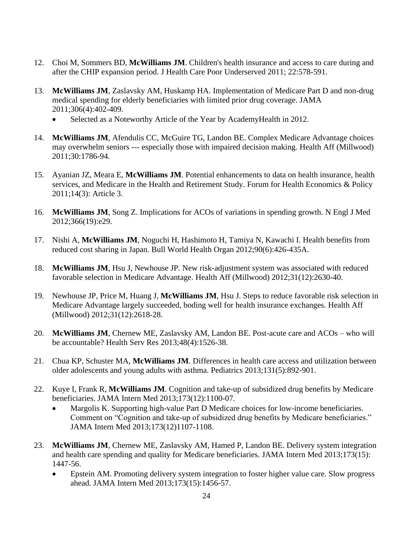- 12. Choi M, Sommers BD, **McWilliams JM**. Children's health insurance and access to care during and after the CHIP expansion period. J Health Care Poor Underserved 2011; 22:578-591.
- 13. **McWilliams JM**, Zaslavsky AM, Huskamp HA. Implementation of Medicare Part D and non-drug medical spending for elderly beneficiaries with limited prior drug coverage. JAMA 2011;306(4):402-409.
	- Selected as a Noteworthy Article of the Year by AcademyHealth in 2012.
- 14. **McWilliams JM**, Afendulis CC, McGuire TG, Landon BE. Complex Medicare Advantage choices may overwhelm seniors --- especially those with impaired decision making. Health Aff (Millwood) 2011;30:1786-94.
- 15. Ayanian JZ, Meara E, **McWilliams JM**. Potential enhancements to data on health insurance, health services, and Medicare in the Health and Retirement Study. Forum for Health Economics & Policy 2011;14(3): Article 3.
- 16. **McWilliams JM**, Song Z. Implications for ACOs of variations in spending growth. N Engl J Med 2012;366(19):e29.
- 17. Nishi A, **McWilliams JM**, Noguchi H, Hashimoto H, Tamiya N, Kawachi I. Health benefits from reduced cost sharing in Japan. Bull World Health Organ 2012;90(6):426-435A.
- 18. **McWilliams JM**, Hsu J, Newhouse JP. New risk-adjustment system was associated with reduced favorable selection in Medicare Advantage. Health Aff (Millwood) 2012;31(12):2630-40.
- 19. Newhouse JP, Price M, Huang J, **McWilliams JM**, Hsu J. Steps to reduce favorable risk selection in Medicare Advantage largely succeeded, boding well for health insurance exchanges. Health Aff (Millwood) 2012;31(12):2618-28.
- 20. **McWilliams JM**, Chernew ME, Zaslavsky AM, Landon BE. Post-acute care and ACOs who will be accountable? Health Serv Res 2013;48(4):1526-38.
- 21. Chua KP, Schuster MA, **McWilliams JM**. Differences in health care access and utilization between older adolescents and young adults with asthma. Pediatrics 2013;131(5):892-901.
- 22. Kuye I, Frank R, **McWilliams JM**. Cognition and take-up of subsidized drug benefits by Medicare beneficiaries. JAMA Intern Med 2013;173(12):1100-07.
	- Margolis K. Supporting high-value Part D Medicare choices for low-income beneficiaries. Comment on "Cognition and take-up of subsidized drug benefits by Medicare beneficiaries." JAMA Intern Med 2013;173(12)1107-1108.
- 23. **McWilliams JM**, Chernew ME, Zaslavsky AM, Hamed P, Landon BE. Delivery system integration and health care spending and quality for Medicare beneficiaries. JAMA Intern Med 2013;173(15): 1447-56.
	- Epstein AM. Promoting delivery system integration to foster higher value care. Slow progress ahead. JAMA Intern Med 2013;173(15):1456-57.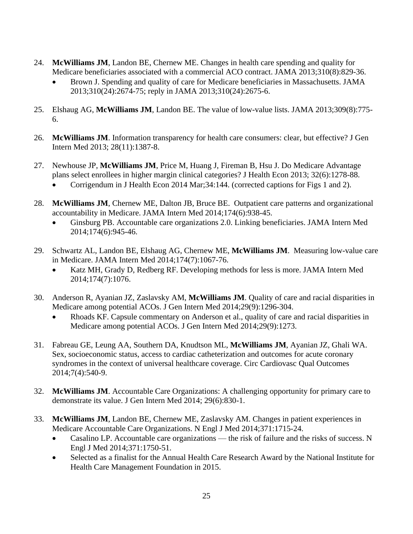- 24. **McWilliams JM**, Landon BE, Chernew ME. Changes in health care spending and quality for Medicare beneficiaries associated with a commercial ACO contract. JAMA 2013;310(8):829-36.
	- Brown J. Spending and quality of care for Medicare beneficiaries in Massachusetts. JAMA 2013;310(24):2674-75; reply in JAMA 2013;310(24):2675-6.
- 25. Elshaug AG, **McWilliams JM**, Landon BE. The value of low-value lists. JAMA 2013;309(8):775- 6.
- 26. **McWilliams JM**. Information transparency for health care consumers: clear, but effective? J Gen Intern Med 2013; 28(11):1387-8.
- 27. Newhouse JP, **McWilliams JM**, Price M, Huang J, Fireman B, Hsu J. Do Medicare Advantage plans select enrollees in higher margin clinical categories? J Health Econ 2013; 32(6):1278-88.
	- Corrigendum in J Health Econ 2014 Mar; 34:144. (corrected captions for Figs 1 and 2).
- 28. **McWilliams JM**, Chernew ME, Dalton JB, Bruce BE. Outpatient care patterns and organizational accountability in Medicare. JAMA Intern Med 2014;174(6):938-45.
	- Ginsburg PB. Accountable care organizations 2.0. Linking beneficiaries. JAMA Intern Med 2014;174(6):945-46.
- 29. Schwartz AL, Landon BE, Elshaug AG, Chernew ME, **McWilliams JM**. Measuring low-value care in Medicare. JAMA Intern Med 2014;174(7):1067-76.
	- Katz MH, Grady D, Redberg RF. Developing methods for less is more. JAMA Intern Med 2014;174(7):1076.
- 30. Anderson R, Ayanian JZ, Zaslavsky AM, **McWilliams JM**. Quality of care and racial disparities in Medicare among potential ACOs. J Gen Intern Med 2014;29(9):1296-304.
	- Rhoads KF. Capsule commentary on Anderson et al., quality of care and racial disparities in Medicare among potential ACOs. J Gen Intern Med 2014;29(9):1273.
- 31. Fabreau GE, Leung AA, Southern DA, Knudtson ML, **McWilliams JM**, Ayanian JZ, Ghali WA. Sex, socioeconomic status, access to cardiac catheterization and outcomes for acute coronary syndromes in the context of universal healthcare coverage. Circ Cardiovasc Qual Outcomes 2014;7(4):540-9.
- 32. **McWilliams JM**. Accountable Care Organizations: A challenging opportunity for primary care to demonstrate its value. J Gen Intern Med 2014; 29(6):830-1.
- 33. **McWilliams JM**, Landon BE, Chernew ME, Zaslavsky AM. Changes in patient experiences in Medicare Accountable Care Organizations. N Engl J Med 2014;371:1715-24.
	- Casalino LP. Accountable care organizations the risk of failure and the risks of success. N Engl J Med 2014;371:1750-51.
	- Selected as a finalist for the Annual Health Care Research Award by the National Institute for Health Care Management Foundation in 2015.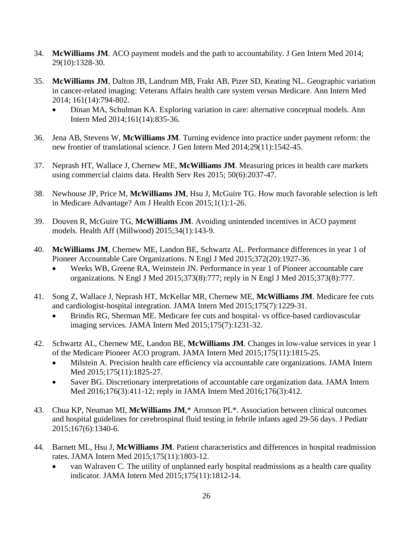- 34. **McWilliams JM**. ACO payment models and the path to accountability. J Gen Intern Med 2014; 29(10):1328-30.
- 35. **McWilliams JM**, Dalton JB, Landrum MB, Frakt AB, Pizer SD, Keating NL. Geographic variation in cancer-related imaging: Veterans Affairs health care system versus Medicare. Ann Intern Med 2014; 161(14):794-802.
	- Dinan MA, Schulman KA. Exploring variation in care: alternative conceptual models. Ann Intern Med 2014;161(14):835-36.
- 36. Jena AB, Stevens W, **McWilliams JM**. Turning evidence into practice under payment reform: the new frontier of translational science. J Gen Intern Med 2014;29(11):1542-45.
- 37. Neprash HT, Wallace J, Chernew ME, **McWilliams JM**. Measuring prices in health care markets using commercial claims data. Health Serv Res 2015; 50(6):2037-47.
- 38. Newhouse JP, Price M, **McWilliams JM**, Hsu J, McGuire TG. How much favorable selection is left in Medicare Advantage? Am J Health Econ 2015;1(1):1-26.
- 39. Douven R, McGuire TG, **McWilliams JM**. Avoiding unintended incentives in ACO payment models. Health Aff (Millwood) 2015;34(1):143-9.
- 40. **McWilliams JM**, Chernew ME, Landon BE, Schwartz AL. Performance differences in year 1 of Pioneer Accountable Care Organizations. N Engl J Med 2015;372(20):1927-36.
	- Weeks WB, Greene RA, Weinstein JN. Performance in year 1 of Pioneer accountable care organizations. N Engl J Med 2015;373(8):777; reply in N Engl J Med 2015;373(8):777.
- 41. Song Z, Wallace J, Neprash HT, McKellar MR, Chernew ME, **McWilliams JM**. Medicare fee cuts and cardiologist-hospital integration. JAMA Intern Med 2015;175(7):1229-31.
	- Brindis RG, Sherman ME. Medicare fee cuts and hospital- vs office-based cardiovascular imaging services. JAMA Intern Med 2015;175(7):1231-32.
- 42. Schwartz AL, Chernew ME, Landon BE, **McWilliams JM**. Changes in low-value services in year 1 of the Medicare Pioneer ACO program. JAMA Intern Med 2015;175(11):1815-25.
	- Milstein A. Precision health care efficiency via accountable care organizations. JAMA Intern Med 2015;175(11):1825-27.
	- Saver BG. Discretionary interpretations of accountable care organization data. JAMA Intern Med 2016;176(3):411-12; reply in JAMA Intern Med 2016;176(3):412.
- 43. Chua KP, Neuman MI, **McWilliams JM**,\* Aronson PL\*. Association between clinical outcomes and hospital guidelines for cerebrospinal fluid testing in febrile infants aged 29-56 days. J Pediatr 2015;167(6):1340-6.
- 44. Barnett ML, Hsu J, **McWilliams JM**. Patient characteristics and differences in hospital readmission rates. JAMA Intern Med 2015;175(11):1803-12.
	- van Walraven C. The utility of unplanned early hospital readmissions as a health care quality indicator. JAMA Intern Med 2015;175(11):1812-14.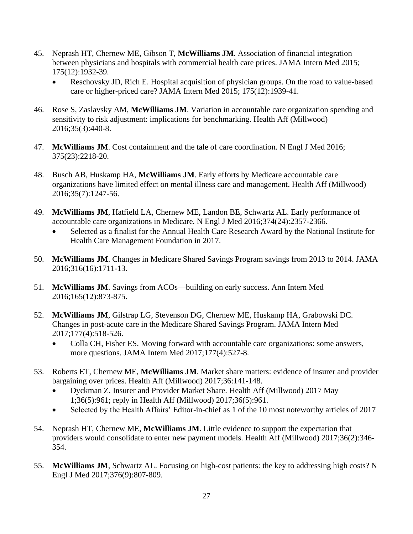- 45. Neprash HT, Chernew ME, Gibson T, **McWilliams JM**. Association of financial integration between physicians and hospitals with commercial health care prices. JAMA Intern Med 2015; 175(12):1932-39.
	- Reschovsky JD, Rich E. Hospital acquisition of physician groups. On the road to value-based care or higher-priced care? JAMA Intern Med 2015; 175(12):1939-41.
- 46. Rose S, Zaslavsky AM, **McWilliams JM**. Variation in accountable care organization spending and sensitivity to risk adjustment: implications for benchmarking. Health Aff (Millwood) 2016;35(3):440-8.
- 47. **McWilliams JM**. Cost containment and the tale of care coordination. N Engl J Med 2016; 375(23):2218-20.
- 48. Busch AB, Huskamp HA, **McWilliams JM**. Early efforts by Medicare accountable care organizations have limited effect on mental illness care and management. Health Aff (Millwood) 2016;35(7):1247-56.
- 49. **McWilliams JM**, Hatfield LA, Chernew ME, Landon BE, Schwartz AL. Early performance of accountable care organizations in Medicare. N Engl J Med 2016;374(24):2357-2366.
	- Selected as a finalist for the Annual Health Care Research Award by the National Institute for Health Care Management Foundation in 2017.
- 50. **McWilliams JM**. Changes in Medicare Shared Savings Program savings from 2013 to 2014. JAMA 2016;316(16):1711-13.
- 51. **McWilliams JM**. Savings from ACOs—building on early success. Ann Intern Med 2016;165(12):873-875.
- 52. **McWilliams JM**, Gilstrap LG, Stevenson DG, Chernew ME, Huskamp HA, Grabowski DC. Changes in post-acute care in the Medicare Shared Savings Program. JAMA Intern Med 2017;177(4):518-526.
	- Colla CH, Fisher ES. Moving forward with accountable care organizations: some answers, more questions. JAMA Intern Med 2017;177(4):527-8.
- 53. Roberts ET, Chernew ME, **McWilliams JM**. Market share matters: evidence of insurer and provider bargaining over prices. Health Aff (Millwood) 2017;36:141-148.
	- Dyckman Z. Insurer and Provider Market Share. Health Aff (Millwood) 2017 May 1;36(5):961; reply in Health Aff (Millwood) 2017;36(5):961.
	- Selected by the Health Affairs' Editor-in-chief as 1 of the 10 most noteworthy articles of 2017
- 54. Neprash HT, Chernew ME, **McWilliams JM**. Little evidence to support the expectation that providers would consolidate to enter new payment models. Health Aff (Millwood) 2017;36(2):346- 354.
- 55. **McWilliams JM**, Schwartz AL. Focusing on high-cost patients: the key to addressing high costs? N Engl J Med 2017;376(9):807-809.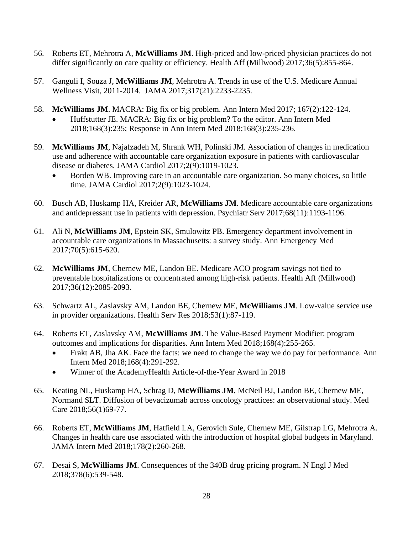- 56. Roberts ET, Mehrotra A, **McWilliams JM**. High-priced and low-priced physician practices do not differ significantly on care quality or efficiency. Health Aff (Millwood) 2017;36(5):855-864.
- 57. Ganguli I, Souza J, **McWilliams JM**, Mehrotra A. Trends in use of the U.S. Medicare Annual Wellness Visit, 2011-2014. JAMA 2017;317(21):2233-2235.
- 58. **McWilliams JM**. MACRA: Big fix or big problem. Ann Intern Med 2017; 167(2):122-124.
	- Huffstutter JE. MACRA: Big fix or big problem? To the editor. Ann Intern Med 2018;168(3):235; Response in Ann Intern Med 2018;168(3):235-236.
- 59. **McWilliams JM**, Najafzadeh M, Shrank WH, Polinski JM. Association of changes in medication use and adherence with accountable care organization exposure in patients with cardiovascular disease or diabetes. JAMA Cardiol 2017;2(9):1019-1023.
	- Borden WB. Improving care in an accountable care organization. So many choices, so little time. JAMA Cardiol 2017;2(9):1023-1024.
- 60. Busch AB, Huskamp HA, Kreider AR, **McWilliams JM**. Medicare accountable care organizations and antidepressant use in patients with depression. Psychiatr Serv 2017;68(11):1193-1196.
- 61. Ali N, **McWilliams JM**, Epstein SK, Smulowitz PB. Emergency department involvement in accountable care organizations in Massachusetts: a survey study. Ann Emergency Med 2017;70(5):615-620.
- 62. **McWilliams JM**, Chernew ME, Landon BE. Medicare ACO program savings not tied to preventable hospitalizations or concentrated among high-risk patients. Health Aff (Millwood) 2017;36(12):2085-2093.
- 63. Schwartz AL, Zaslavsky AM, Landon BE, Chernew ME, **McWilliams JM**. Low-value service use in provider organizations. Health Serv Res 2018;53(1):87-119.
- 64. Roberts ET, Zaslavsky AM, **McWilliams JM**. The Value-Based Payment Modifier: program outcomes and implications for disparities. Ann Intern Med 2018;168(4):255-265.
	- Frakt AB, Jha AK. Face the facts: we need to change the way we do pay for performance. Ann Intern Med 2018;168(4):291-292.
	- Winner of the AcademyHealth Article-of-the-Year Award in 2018
- 65. Keating NL, Huskamp HA, Schrag D, **McWilliams JM**, McNeil BJ, Landon BE, Chernew ME, Normand SLT. Diffusion of bevacizumab across oncology practices: an observational study. Med Care 2018;56(1)69-77.
- 66. Roberts ET, **McWilliams JM**, Hatfield LA, Gerovich Sule, Chernew ME, Gilstrap LG, Mehrotra A. Changes in health care use associated with the introduction of hospital global budgets in Maryland. JAMA Intern Med 2018;178(2):260-268.
- 67. Desai S, **McWilliams JM**. Consequences of the 340B drug pricing program. N Engl J Med 2018;378(6):539-548.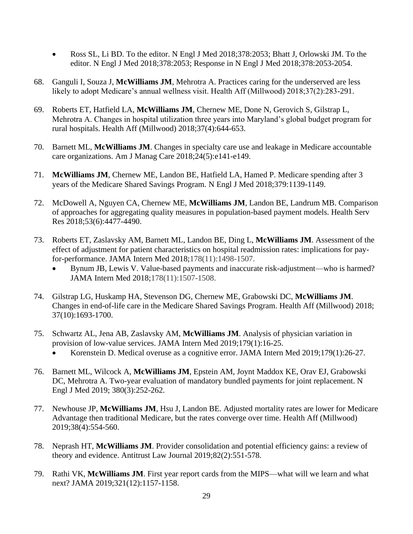- Ross SL, Li BD. To the editor. N Engl J Med 2018;378:2053; Bhatt J, Orlowski JM. To the editor. N Engl J Med 2018;378:2053; Response in N Engl J Med 2018;378:2053-2054.
- 68. Ganguli I, Souza J, **McWilliams JM**, Mehrotra A. Practices caring for the underserved are less likely to adopt Medicare's annual wellness visit. Health Aff (Millwood) 2018;37(2):283-291.
- 69. Roberts ET, Hatfield LA, **McWilliams JM**, Chernew ME, Done N, Gerovich S, Gilstrap L, Mehrotra A. Changes in hospital utilization three years into Maryland's global budget program for rural hospitals. Health Aff (Millwood) 2018;37(4):644-653.
- 70. Barnett ML, **McWilliams JM**. Changes in specialty care use and leakage in Medicare accountable care organizations. Am J Manag Care 2018;24(5):e141-e149.
- 71. **McWilliams JM**, Chernew ME, Landon BE, Hatfield LA, Hamed P. Medicare spending after 3 years of the Medicare Shared Savings Program. N Engl J Med 2018;379:1139-1149.
- 72. McDowell A, Nguyen CA, Chernew ME, **McWilliams JM**, Landon BE, Landrum MB. Comparison of approaches for aggregating quality measures in population-based payment models. Health Serv Res 2018;53(6):4477-4490.
- 73. Roberts ET, Zaslavsky AM, Barnett ML, Landon BE, Ding L, **McWilliams JM**. Assessment of the effect of adjustment for patient characteristics on hospital readmission rates: implications for payfor-performance. JAMA Intern Med 2018;178(11):1498-1507.
	- Bynum JB, Lewis V. Value-based payments and inaccurate risk-adjustment—who is harmed? JAMA Intern Med 2018;178(11):1507-1508.
- 74. Gilstrap LG, Huskamp HA, Stevenson DG, Chernew ME, Grabowski DC, **McWilliams JM**. Changes in end-of-life care in the Medicare Shared Savings Program. Health Aff (Millwood) 2018; 37(10):1693-1700.
- 75. Schwartz AL, Jena AB, Zaslavsky AM, **McWilliams JM**. Analysis of physician variation in provision of low-value services. JAMA Intern Med 2019;179(1):16-25.
	- Korenstein D. Medical overuse as a cognitive error. JAMA Intern Med 2019;179(1):26-27.
- 76. Barnett ML, Wilcock A, **McWilliams JM**, Epstein AM, Joynt Maddox KE, Orav EJ, Grabowski DC, Mehrotra A. Two-year evaluation of mandatory bundled payments for joint replacement. N Engl J Med 2019; 380(3):252-262.
- 77. Newhouse JP, **McWilliams JM**, Hsu J, Landon BE. Adjusted mortality rates are lower for Medicare Advantage then traditional Medicare, but the rates converge over time. Health Aff (Millwood) 2019;38(4):554-560.
- 78. Neprash HT, **McWilliams JM**. Provider consolidation and potential efficiency gains: a review of theory and evidence. Antitrust Law Journal 2019;82(2):551-578.
- 79. Rathi VK, **McWilliams JM**. First year report cards from the MIPS—what will we learn and what next? JAMA 2019;321(12):1157-1158.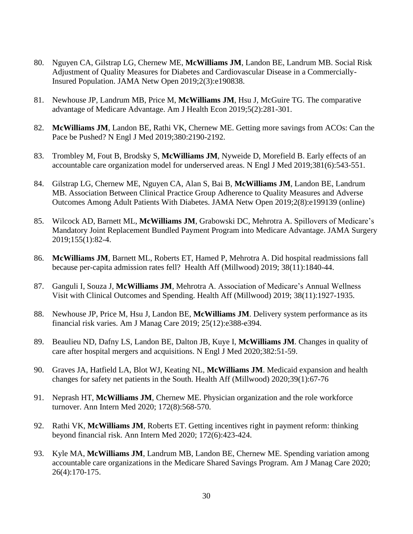- 80. Nguyen CA, Gilstrap LG, Chernew ME, **McWilliams JM**, Landon BE, Landrum MB. Social Risk Adjustment of Quality Measures for Diabetes and Cardiovascular Disease in a Commercially-Insured Population. JAMA Netw Open 2019;2(3):e190838.
- 81. Newhouse JP, Landrum MB, Price M, **McWilliams JM**, Hsu J, McGuire TG. The comparative advantage of Medicare Advantage. Am J Health Econ 2019;5(2):281-301.
- 82. **McWilliams JM**, Landon BE, Rathi VK, Chernew ME. Getting more savings from ACOs: Can the Pace be Pushed? N Engl J Med 2019;380:2190-2192.
- 83. Trombley M, Fout B, Brodsky S, **McWilliams JM**, Nyweide D, Morefield B. Early effects of an accountable care organization model for underserved areas. N Engl J Med 2019;381(6):543-551.
- 84. Gilstrap LG, Chernew ME, Nguyen CA, Alan S, Bai B, **McWilliams JM**, Landon BE, Landrum MB. Association Between Clinical Practice Group Adherence to Quality Measures and Adverse Outcomes Among Adult Patients With Diabetes. JAMA Netw Open 2019;2(8):e199139 (online)
- 85. Wilcock AD, Barnett ML, **McWilliams JM**, Grabowski DC, Mehrotra A. Spillovers of Medicare's Mandatory Joint Replacement Bundled Payment Program into Medicare Advantage. JAMA Surgery 2019;155(1):82-4.
- 86. **McWilliams JM**, Barnett ML, Roberts ET, Hamed P, Mehrotra A. Did hospital readmissions fall because per-capita admission rates fell? Health Aff (Millwood) 2019; 38(11):1840-44.
- 87. Ganguli I, Souza J, **McWilliams JM**, Mehrotra A. Association of Medicare's Annual Wellness Visit with Clinical Outcomes and Spending. Health Aff (Millwood) 2019; 38(11):1927-1935.
- 88. Newhouse JP, Price M, Hsu J, Landon BE, **McWilliams JM**. Delivery system performance as its financial risk varies. Am J Manag Care 2019; 25(12):e388-e394.
- 89. Beaulieu ND, Dafny LS, Landon BE, Dalton JB, Kuye I, **McWilliams JM**. Changes in quality of care after hospital mergers and acquisitions. N Engl J Med 2020;382:51-59.
- 90. Graves JA, Hatfield LA, Blot WJ, Keating NL, **McWilliams JM**. Medicaid expansion and health changes for safety net patients in the South. Health Aff (Millwood) 2020;39(1):67-76
- 91. Neprash HT, **McWilliams JM**, Chernew ME. Physician organization and the role workforce turnover. Ann Intern Med 2020; 172(8):568-570.
- 92. Rathi VK, **McWilliams JM**, Roberts ET. Getting incentives right in payment reform: thinking beyond financial risk. Ann Intern Med 2020; 172(6):423-424.
- 93. Kyle MA, **McWilliams JM**, Landrum MB, Landon BE, Chernew ME. Spending variation among accountable care organizations in the Medicare Shared Savings Program. Am J Manag Care 2020; 26(4):170-175.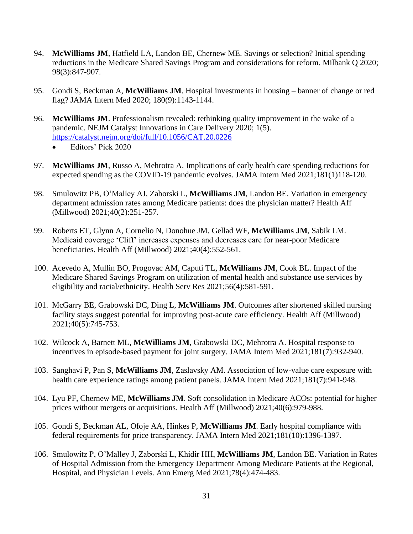- 94. **McWilliams JM**, Hatfield LA, Landon BE, Chernew ME. Savings or selection? Initial spending reductions in the Medicare Shared Savings Program and considerations for reform. Milbank Q 2020; 98(3):847-907.
- 95. Gondi S, Beckman A, **McWilliams JM**. Hospital investments in housing banner of change or red flag? JAMA Intern Med 2020; 180(9):1143-1144.
- 96. **McWilliams JM**. Professionalism revealed: rethinking quality improvement in the wake of a pandemic. NEJM Catalyst Innovations in Care Delivery 2020; 1(5). <https://catalyst.nejm.org/doi/full/10.1056/CAT.20.0226>
	- Editors' Pick 2020
- 97. **McWilliams JM**, Russo A, Mehrotra A. Implications of early health care spending reductions for expected spending as the COVID-19 pandemic evolves. JAMA Intern Med 2021;181(1)118-120.
- 98. Smulowitz PB, O'Malley AJ, Zaborski L, **McWilliams JM**, Landon BE. Variation in emergency department admission rates among Medicare patients: does the physician matter? Health Aff (Millwood) 2021;40(2):251-257.
- 99. Roberts ET, Glynn A, Cornelio N, Donohue JM, Gellad WF, **McWilliams JM**, Sabik LM. Medicaid coverage 'Cliff' increases expenses and decreases care for near-poor Medicare beneficiaries. Health Aff (Millwood) 2021;40(4):552-561.
- 100. Acevedo A, Mullin BO, Progovac AM, Caputi TL, **McWilliams JM**, Cook BL. Impact of the Medicare Shared Savings Program on utilization of mental health and substance use services by eligibility and racial/ethnicity. Health Serv Res 2021;56(4):581-591.
- 101. McGarry BE, Grabowski DC, Ding L, **McWilliams JM**. Outcomes after shortened skilled nursing facility stays suggest potential for improving post-acute care efficiency. Health Aff (Millwood) 2021;40(5):745-753.
- 102. Wilcock A, Barnett ML, **McWilliams JM**, Grabowski DC, Mehrotra A. Hospital response to incentives in episode-based payment for joint surgery. JAMA Intern Med 2021;181(7):932-940.
- 103. Sanghavi P, Pan S, **McWilliams JM**, Zaslavsky AM. Association of low-value care exposure with health care experience ratings among patient panels. JAMA Intern Med 2021;181(7):941-948.
- 104. Lyu PF, Chernew ME, **McWilliams JM**. Soft consolidation in Medicare ACOs: potential for higher prices without mergers or acquisitions. Health Aff (Millwood) 2021;40(6):979-988.
- 105. Gondi S, Beckman AL, Ofoje AA, Hinkes P, **McWilliams JM**. Early hospital compliance with federal requirements for price transparency. JAMA Intern Med 2021;181(10):1396-1397.
- 106. Smulowitz P, O'Malley J, Zaborski L, Khidir HH, **McWilliams JM**, Landon BE. Variation in Rates of Hospital Admission from the Emergency Department Among Medicare Patients at the Regional, Hospital, and Physician Levels. Ann Emerg Med 2021;78(4):474-483.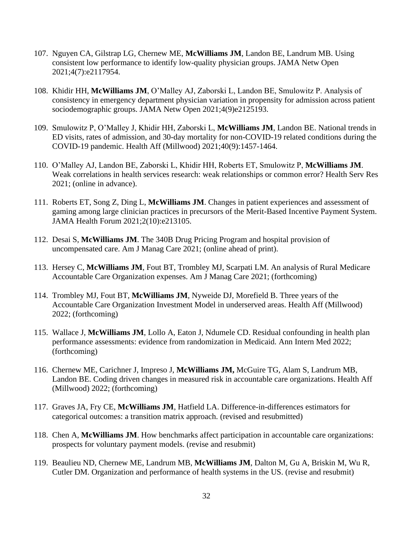- 107. Nguyen CA, Gilstrap LG, Chernew ME, **McWilliams JM**, Landon BE, Landrum MB. Using consistent low performance to identify low-quality physician groups. JAMA Netw Open 2021;4(7):e2117954.
- 108. Khidir HH, **McWilliams JM**, O'Malley AJ, Zaborski L, Landon BE, Smulowitz P. Analysis of consistency in emergency department physician variation in propensity for admission across patient sociodemographic groups. JAMA Netw Open 2021;4(9)e2125193.
- 109. Smulowitz P, O'Malley J, Khidir HH, Zaborski L, **McWilliams JM**, Landon BE. National trends in ED visits, rates of admission, and 30-day mortality for non-COVID-19 related conditions during the COVID-19 pandemic. Health Aff (Millwood) 2021;40(9):1457-1464.
- 110. O'Malley AJ, Landon BE, Zaborski L, Khidir HH, Roberts ET, Smulowitz P, **McWilliams JM**. Weak correlations in health services research: weak relationships or common error? Health Serv Res 2021; (online in advance).
- 111. Roberts ET, Song Z, Ding L, **McWilliams JM**. Changes in patient experiences and assessment of gaming among large clinician practices in precursors of the Merit-Based Incentive Payment System. JAMA Health Forum 2021;2(10):e213105.
- 112. Desai S, **McWilliams JM**. The 340B Drug Pricing Program and hospital provision of uncompensated care. Am J Manag Care 2021; (online ahead of print).
- 113. Hersey C, **McWilliams JM**, Fout BT, Trombley MJ, Scarpati LM. An analysis of Rural Medicare Accountable Care Organization expenses. Am J Manag Care 2021; (forthcoming)
- 114. Trombley MJ, Fout BT, **McWilliams JM**, Nyweide DJ, Morefield B. Three years of the Accountable Care Organization Investment Model in underserved areas. Health Aff (Millwood) 2022; (forthcoming)
- 115. Wallace J, **McWilliams JM**, Lollo A, Eaton J, Ndumele CD. Residual confounding in health plan performance assessments: evidence from randomization in Medicaid. Ann Intern Med 2022; (forthcoming)
- 116. Chernew ME, Carichner J, Impreso J, **McWilliams JM,** McGuire TG, Alam S, Landrum MB, Landon BE. Coding driven changes in measured risk in accountable care organizations. Health Aff (Millwood) 2022; (forthcoming)
- 117. Graves JA, Fry CE, **McWilliams JM**, Hatfield LA. Difference-in-differences estimators for categorical outcomes: a transition matrix approach. (revised and resubmitted)
- 118. Chen A, **McWilliams JM**. How benchmarks affect participation in accountable care organizations: prospects for voluntary payment models. (revise and resubmit)
- 119. Beaulieu ND, Chernew ME, Landrum MB, **McWilliams JM**, Dalton M, Gu A, Briskin M, Wu R, Cutler DM. Organization and performance of health systems in the US. (revise and resubmit)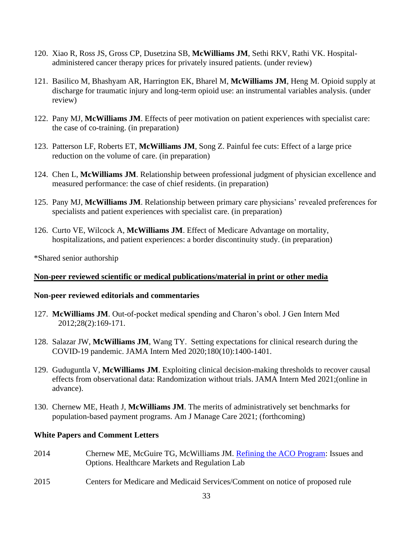- 120. Xiao R, Ross JS, Gross CP, Dusetzina SB, **McWilliams JM**, Sethi RKV, Rathi VK. Hospitaladministered cancer therapy prices for privately insured patients. (under review)
- 121. Basilico M, Bhashyam AR, Harrington EK, Bharel M, **McWilliams JM**, Heng M. Opioid supply at discharge for traumatic injury and long-term opioid use: an instrumental variables analysis. (under review)
- 122. Pany MJ, **McWilliams JM**. Effects of peer motivation on patient experiences with specialist care: the case of co-training. (in preparation)
- 123. Patterson LF, Roberts ET, **McWilliams JM**, Song Z. Painful fee cuts: Effect of a large price reduction on the volume of care. (in preparation)
- 124. Chen L, **McWilliams JM**. Relationship between professional judgment of physician excellence and measured performance: the case of chief residents. (in preparation)
- 125. Pany MJ, **McWilliams JM**. Relationship between primary care physicians' revealed preferences for specialists and patient experiences with specialist care. (in preparation)
- 126. Curto VE, Wilcock A, **McWilliams JM**. Effect of Medicare Advantage on mortality, hospitalizations, and patient experiences: a border discontinuity study. (in preparation)

\*Shared senior authorship

### **Non-peer reviewed scientific or medical publications/material in print or other media**

#### **Non-peer reviewed editorials and commentaries**

- 127. **McWilliams JM**. Out-of-pocket medical spending and Charon's obol. J Gen Intern Med 2012;28(2):169-171.
- 128. Salazar JW, **McWilliams JM**, Wang TY. Setting expectations for clinical research during the COVID-19 pandemic. JAMA Intern Med 2020;180(10):1400-1401.
- 129. Guduguntla V, **McWilliams JM**. Exploiting clinical decision-making thresholds to recover causal effects from observational data: Randomization without trials. JAMA Intern Med 2021;(online in advance).
- 130. Chernew ME, Heath J, **McWilliams JM**. The merits of administratively set benchmarks for population-based payment programs. Am J Manage Care 2021; (forthcoming)

### **White Papers and Comment Letters**

- 2014 Chernew ME, McGuire TG, McWilliams JM. [Refining the ACO Program:](https://hmrlab.hcp.med.harvard.edu/files/hmrtest2/files/2014_refining_the_aco_program_issues_and_options.pdf) Issues and Options. Healthcare Markets and Regulation Lab
- 2015 Centers for Medicare and Medicaid Services/Comment on notice of proposed rule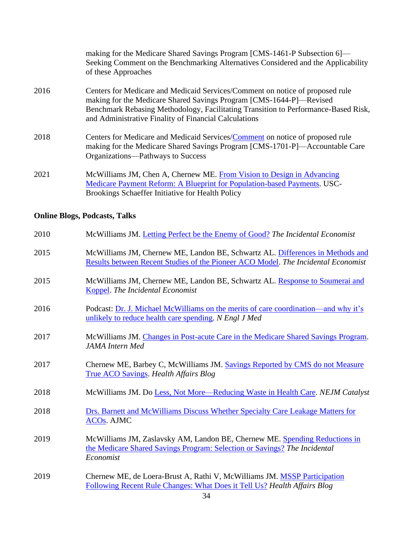|      | making for the Medicare Shared Savings Program [CMS-1461-P Subsection 6]—<br>Seeking Comment on the Benchmarking Alternatives Considered and the Applicability<br>of these Approaches                                                                                                               |
|------|-----------------------------------------------------------------------------------------------------------------------------------------------------------------------------------------------------------------------------------------------------------------------------------------------------|
| 2016 | Centers for Medicare and Medicaid Services/Comment on notice of proposed rule<br>making for the Medicare Shared Savings Program [CMS-1644-P]—Revised<br>Benchmark Rebasing Methodology, Facilitating Transition to Performance-Based Risk,<br>and Administrative Finality of Financial Calculations |
| 2018 | Centers for Medicare and Medicaid Services/Comment on notice of proposed rule<br>making for the Medicare Shared Savings Program [CMS-1701-P]—Accountable Care<br>Organizations-Pathways to Success                                                                                                  |
| 2021 | McWilliams JM, Chen A, Chernew ME. From Vision to Design in Advancing<br>Medicare Payment Reform: A Blueprint for Population-based Payments. USC-<br>Brookings Schaeffer Initiative for Health Policy                                                                                               |
|      | <b>Online Blogs, Podcasts, Talks</b>                                                                                                                                                                                                                                                                |
| 2010 | McWilliams JM. Letting Perfect be the Enemy of Good? The Incidental Economist                                                                                                                                                                                                                       |
| 2015 | McWilliams JM, Chernew ME, Landon BE, Schwartz AL. Differences in Methods and<br>Results between Recent Studies of the Pioneer ACO Model. The Incidental Economist                                                                                                                                  |
| 2015 | McWilliams JM, Chernew ME, Landon BE, Schwartz AL. Response to Soumeral and<br>Koppel. The Incidental Economist                                                                                                                                                                                     |
| 2016 | Podcast: Dr. J. Michael McWilliams on the merits of care coordination—and why it's<br>unlikely to reduce health care spending. N Engl J Med                                                                                                                                                         |
| 2017 | McWilliams JM. Changes in Post-acute Care in the Medicare Shared Savings Program.<br><b>JAMA</b> Intern Med                                                                                                                                                                                         |
| 2017 | Chernew ME, Barbey C, McWilliams JM. Savings Reported by CMS do not Measure<br><b>True ACO Savings. Health Affairs Blog</b>                                                                                                                                                                         |
| 2018 | McWilliams JM. Do Less, Not More—Reducing Waste in Health Care. NEJM Catalyst                                                                                                                                                                                                                       |
| 2018 | Drs. Barnett and McWilliams Discuss Whether Specialty Care Leakage Matters for<br><b>ACOs. AJMC</b>                                                                                                                                                                                                 |
| 2019 | McWilliams JM, Zaslavsky AM, Landon BE, Chernew ME. Spending Reductions in<br>the Medicare Shared Savings Program: Selection or Savings? The Incidental<br>Economist                                                                                                                                |
| 2019 | Chernew ME, de Loera-Brust A, Rathi V, McWilliams JM. MSSP Participation                                                                                                                                                                                                                            |

[Following Recent Rule Changes: What Does it Tell Us?](https://www.healthaffairs.org/do/10.1377/hblog20191120.903566/full/) *Health Affairs Blog*